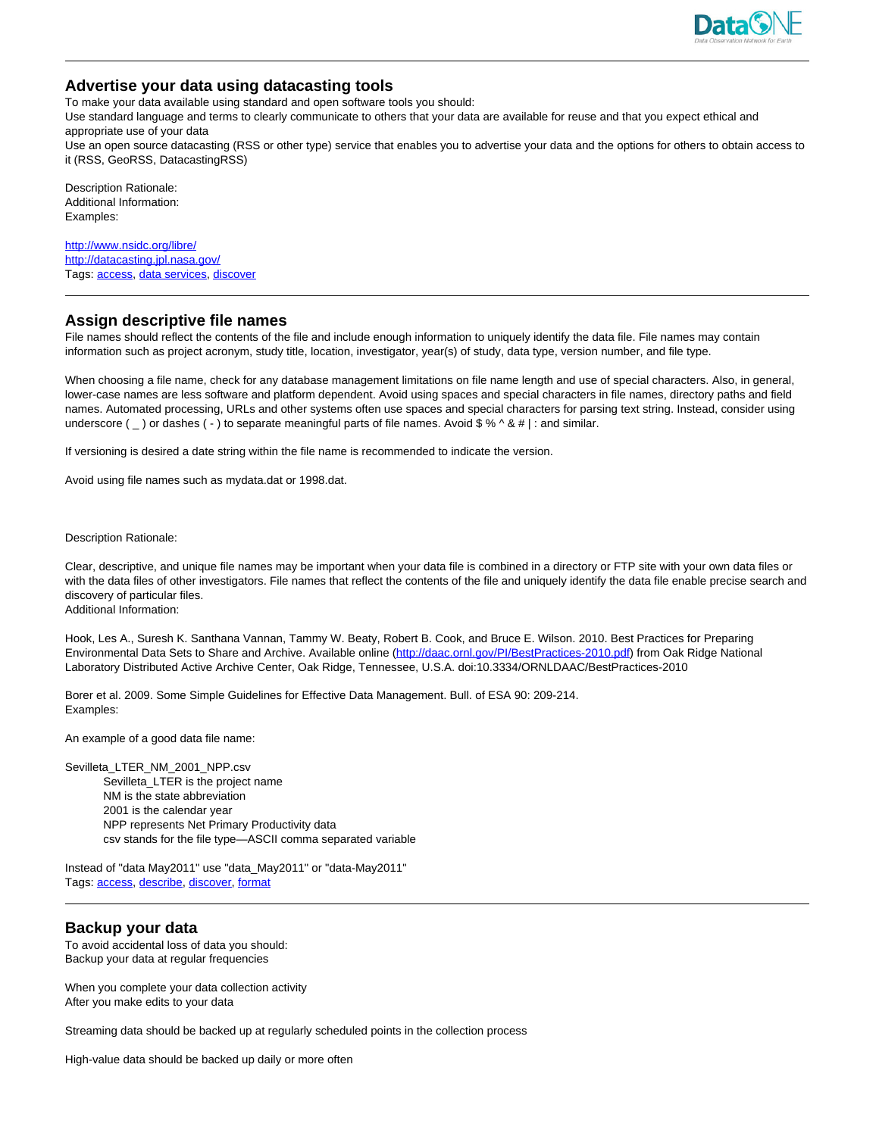

# **Advertise your data using datacasting tools**

To make your data available using standard and open software tools you should:

Use standard language and terms to clearly communicate to others that your data are available for reuse and that you expect ethical and appropriate use of your data

Use an open source datacasting (RSS or other type) service that enables you to advertise your data and the options for others to obtain access to it (RSS, GeoRSS, DatacastingRSS)

Description Rationale: Additional Information: Examples:

<http://www.nsidc.org/libre/> http://datacasting.jpl.nasa.gov/ Tags: access, data services, discover

# **Assign descriptive file names**

File names should reflect the contents of the file and include enough information to uniquely identify the data file. File names may contain information such as project acronym, study title, location, investigator, year(s) of study, data type, version number, and file type.

When choosing a file name, check for any database management limitations on file name length and use of special characters. Also, in general, lower-case names are less software and platform dependent. Avoid using spaces and special characters in file names, directory paths and field names. Automated processing, URLs and other systems often use spaces and special characters for parsing text string. Instead, consider using underscore (  $_{-}$  ) or dashes ( - ) to separate meaningful parts of file names. Avoid \$ % ^ & # | : and similar.

If versioning is desired a date string within the file name is recommended to indicate the version.

Avoid using file names such as mydata.dat or 1998.dat.

Description Rationale:

Clear, descriptive, and unique file names may be important when your data file is combined in a directory or FTP site with your own data files or with the data files of other investigators. File names that reflect the contents of the file and uniquely identify the data file enable precise search and discovery of particular files. Additional Information:

Hook, Les A., Suresh K. Santhana Vannan, Tammy W. Beaty, Robert B. Cook, and Bruce E. Wilson. 2010. Best Practices for Preparing Environmental Data Sets to Share and Archive. Available online (http://daac.ornl.gov/PI/BestPractices-2010.pdf) from Oak Ridge National Laboratory Distributed Active Archive Center, Oak Ridge, Tennessee, U.S.A. doi:10.3334/ORNLDAAC/BestPractices-2010

Borer et al. 2009. Some Simple Guidelines for Effective Data Management. Bull. of ESA 90: 209-214. Examples:

An example of a good data file name:

Sevilleta\_LTER\_NM\_2001\_NPP.csv Sevilleta\_LTER is the project name NM is the state abbreviation 2001 is the calendar year NPP represents Net Primary Productivity data csv stands for the file type—ASCII comma separated variable

Instead of "data May2011" use "data\_May2011" or "data-May2011" Tags: access, describe, discover, format

### **Backup your data**

To avoid accidental loss of data you should: Backup your data at regular frequencies

When you complete your data collection activity After you make edits to your data

Streaming data should be backed up at regularly scheduled points in the collection process

High-value data should be backed up daily or more often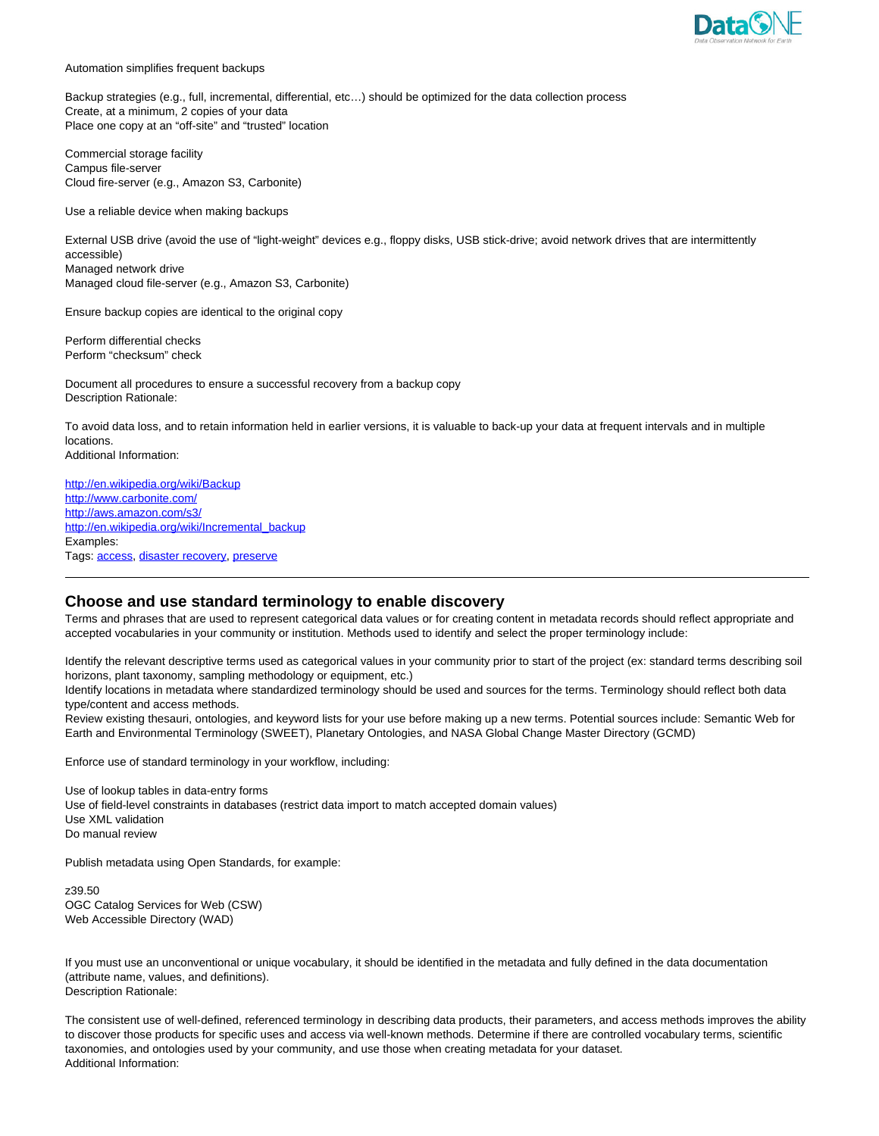

Automation simplifies frequent backups

Backup strategies (e.g., full, incremental, differential, etc…) should be optimized for the data collection process Create, at a minimum, 2 copies of your data Place one copy at an "off-site" and "trusted" location

Commercial storage facility Campus file-server Cloud fire-server (e.g., Amazon S3, Carbonite)

Use a reliable device when making backups

External USB drive (avoid the use of "light-weight" devices e.g., floppy disks, USB stick-drive; avoid network drives that are intermittently accessible) Managed network drive Managed cloud file-server (e.g., Amazon S3, Carbonite)

Ensure backup copies are identical to the original copy

Perform differential checks Perform "checksum" check

Document all procedures to ensure a successful recovery from a backup copy Description Rationale:

To avoid data loss, and to retain information held in earlier versions, it is valuable to back-up your data at frequent intervals and in multiple locations.

Additional Information:

http://en.wikipedia.org/wiki/Backup http://www.carbonite.com/ http://aws.amazon.com/s3/ http://en.wikipedia.org/wiki/Incremental\_backup Examples: Tags: access, disaster recovery, preserve

# **Choose and use standard terminology to enable discovery**

Terms and phrases that are used to represent categorical data values or for creating content in metadata records should reflect appropriate and accepted vocabularies in your community or institution. Methods used to identify and select the proper terminology include:

Identify the relevant descriptive terms used as categorical values in your community prior to start of the project (ex: standard terms describing soil horizons, plant taxonomy, sampling methodology or equipment, etc.)

Identify locations in metadata where standardized terminology should be used and sources for the terms. Terminology should reflect both data type/content and access methods.

Review existing thesauri, ontologies, and keyword lists for your use before making up a new terms. Potential sources include: Semantic Web for Earth and Environmental Terminology (SWEET), Planetary Ontologies, and NASA Global Change Master Directory (GCMD)

Enforce use of standard terminology in your workflow, including:

Use of lookup tables in data-entry forms Use of field-level constraints in databases (restrict data import to match accepted domain values) Use XML validation Do manual review

Publish metadata using Open Standards, for example:

z39.50 OGC Catalog Services for Web (CSW) Web Accessible Directory (WAD)

If you must use an unconventional or unique vocabulary, it should be identified in the metadata and fully defined in the data documentation (attribute name, values, and definitions). Description Rationale:

The consistent use of well-defined, referenced terminology in describing data products, their parameters, and access methods improves the ability to discover those products for specific uses and access via well-known methods. Determine if there are controlled vocabulary terms, scientific taxonomies, and ontologies used by your community, and use those when creating metadata for your dataset. Additional Information: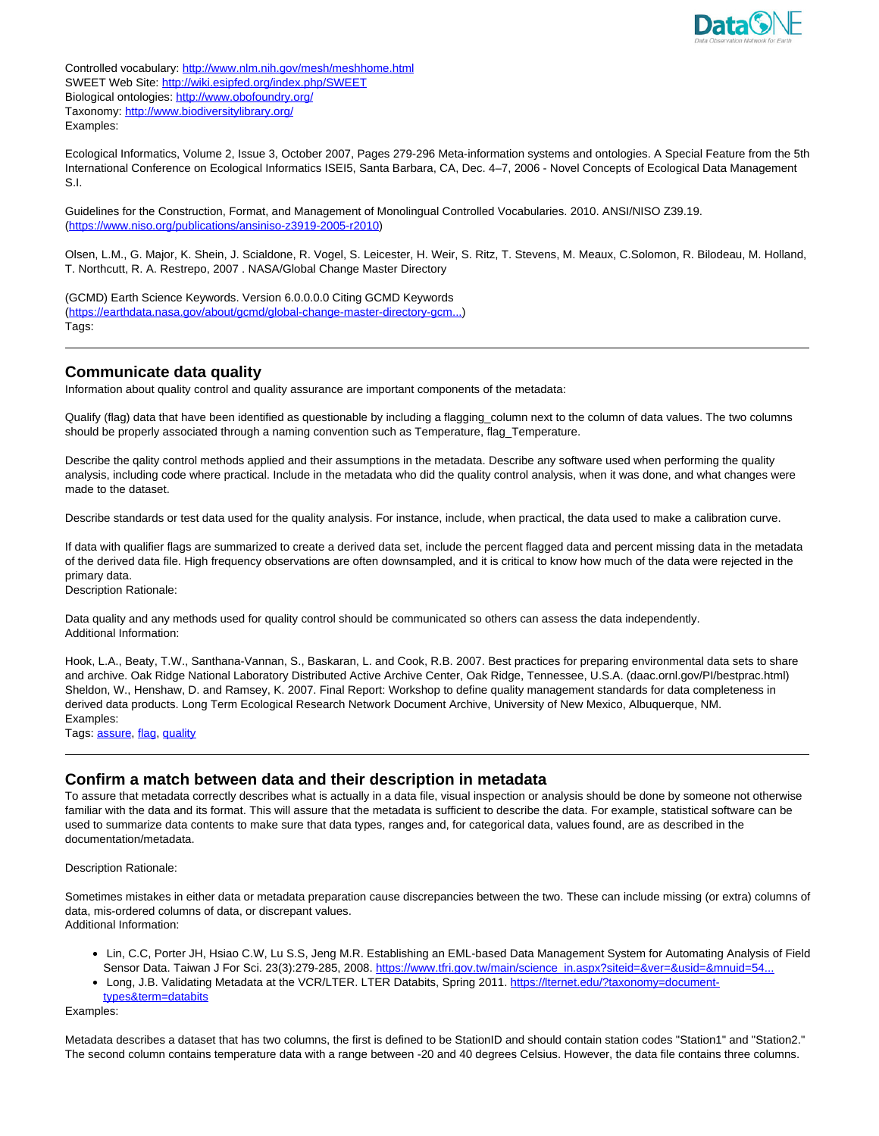

Controlled vocabulary: http://www.nlm.nih.gov/mesh/meshhome.html SWEET Web Site: http://wiki.esipfed.org/index.php/SWEET Biological ontologies: http://www.obofoundry.org/ Taxonomy: http://www.biodiversitylibrary.org/ Examples:

Ecological Informatics, Volume 2, Issue 3, October 2007, Pages 279-296 Meta-information systems and ontologies. A Special Feature from the 5th International Conference on Ecological Informatics ISEI5, Santa Barbara, CA, Dec. 4–7, 2006 - Novel Concepts of Ecological Data Management S.I.

Guidelines for the Construction, Format, and Management of Monolingual Controlled Vocabularies. 2010. ANSI/NISO Z39.19. (https://www.niso.org/publications/ansiniso-z3919-2005-r2010)

Olsen, L.M., G. Major, K. Shein, J. Scialdone, R. Vogel, S. Leicester, H. Weir, S. Ritz, T. Stevens, M. Meaux, C.Solomon, R. Bilodeau, M. Holland, T. Northcutt, R. A. Restrepo, 2007 . NASA/Global Change Master Directory

(GCMD) Earth Science Keywords. Version 6.0.0.0.0 Citing GCMD Keywords (https://earthdata.nasa.gov/about/gcmd/global-change-master-directory-gcm...) Tags:

# **Communicate data quality**

Information about quality control and quality assurance are important components of the metadata:

Qualify (flag) data that have been identified as questionable by including a flagging\_column next to the column of data values. The two columns should be properly associated through a naming convention such as Temperature, flag\_Temperature.

Describe the qality control methods applied and their assumptions in the metadata. Describe any software used when performing the quality analysis, including code where practical. Include in the metadata who did the quality control analysis, when it was done, and what changes were made to the dataset.

Describe standards or test data used for the quality analysis. For instance, include, when practical, the data used to make a calibration curve.

If data with qualifier flags are summarized to create a derived data set, include the percent flagged data and percent missing data in the metadata of the derived data file. High frequency observations are often downsampled, and it is critical to know how much of the data were rejected in the primary data.

Description Rationale:

Data quality and any methods used for quality control should be communicated so others can assess the data independently. Additional Information:

Hook, L.A., Beaty, T.W., Santhana-Vannan, S., Baskaran, L. and Cook, R.B. 2007. Best practices for preparing environmental data sets to share and archive. Oak Ridge National Laboratory Distributed Active Archive Center, Oak Ridge, Tennessee, U.S.A. (daac.ornl.gov/PI/bestprac.html) Sheldon, W., Henshaw, D. and Ramsey, K. 2007. Final Report: Workshop to define quality management standards for data completeness in derived data products. Long Term Ecological Research Network Document Archive, University of New Mexico, Albuquerque, NM. Examples:

Tags: assure, flag, quality

# **Confirm a match between data and their description in metadata**

To assure that metadata correctly describes what is actually in a data file, visual inspection or analysis should be done by someone not otherwise familiar with the data and its format. This will assure that the metadata is sufficient to describe the data. For example, statistical software can be used to summarize data contents to make sure that data types, ranges and, for categorical data, values found, are as described in the documentation/metadata.

Description Rationale:

Sometimes mistakes in either data or metadata preparation cause discrepancies between the two. These can include missing (or extra) columns of data, mis-ordered columns of data, or discrepant values. Additional Information:

- Lin, C.C, Porter JH, Hsiao C.W, Lu S.S, Jeng M.R. Establishing an EML-based Data Management System for Automating Analysis of Field Sensor Data. Taiwan J For Sci. 23(3):279-285, 2008. https://www.tfri.gov.tw/main/science\_in.aspx?siteid=&ver=&usid=&mnuid=54.
- Long, J.B. Validating Metadata at the VCR/LTER. LTER Databits, Spring 2011. https://lternet.edu/?taxonomy=document-
- types&term=databits

Examples:

Metadata describes a dataset that has two columns, the first is defined to be StationID and should contain station codes "Station1" and "Station2." The second column contains temperature data with a range between -20 and 40 degrees Celsius. However, the data file contains three columns.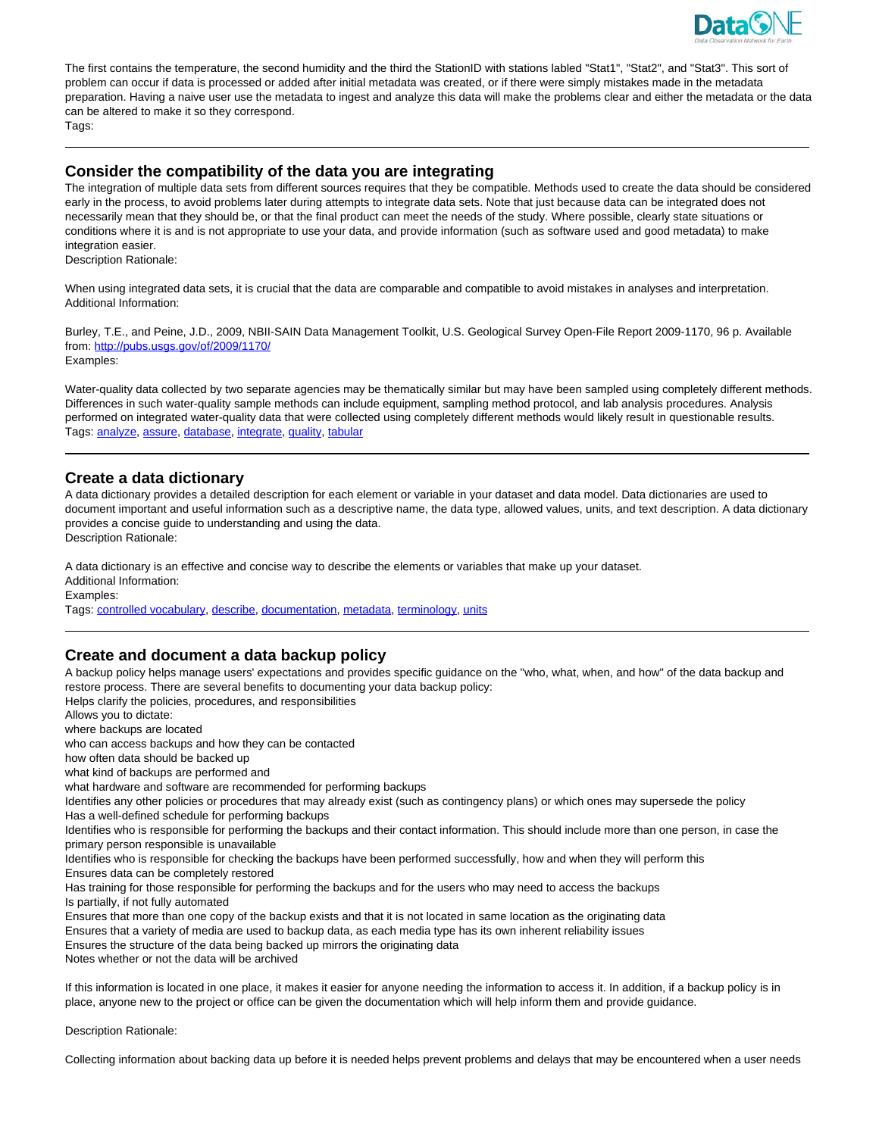

The first contains the temperature, the second humidity and the third the StationID with stations labled "Stat1", "Stat2", and "Stat3". This sort of problem can occur if data is processed or added after initial metadata was created, or if there were simply mistakes made in the metadata preparation. Having a naive user use the metadata to ingest and analyze this data will make the problems clear and either the metadata or the data can be altered to make it so they correspond.

Tags:

### **Consider the compatibility of the data you are integrating**

The integration of multiple data sets from different sources requires that they be compatible. Methods used to create the data should be considered early in the process, to avoid problems later during attempts to integrate data sets. Note that just because data can be integrated does not necessarily mean that they should be, or that the final product can meet the needs of the study. Where possible, clearly state situations or conditions where it is and is not appropriate to use your data, and provide information (such as software used and good metadata) to make integration easier.

Description Rationale:

When using integrated data sets, it is crucial that the data are comparable and compatible to avoid mistakes in analyses and interpretation. Additional Information:

Burley, T.E., and Peine, J.D., 2009, NBII-SAIN Data Management Toolkit, U.S. Geological Survey Open-File Report 2009-1170, 96 p. Available from: http://pubs.usgs.gov/of/2009/1170/ Examples:

Water-quality data collected by two separate agencies may be thematically similar but may have been sampled using completely different methods. Differences in such water-quality sample methods can include equipment, sampling method protocol, and lab analysis procedures. Analysis performed on integrated water-quality data that were collected using completely different methods would likely result in questionable results. Tags: analyze, assure, database, integrate, quality, tabular

# **Create a data dictionary**

A data dictionary provides a detailed description for each element or variable in your dataset and data model. Data dictionaries are used to document important and useful information such as a descriptive name, the data type, allowed values, units, and text description. A data dictionary provides a concise guide to understanding and using the data. Description Rationale:

A data dictionary is an effective and concise way to describe the elements or variables that make up your dataset. Additional Information:

Examples:

Tags: controlled vocabulary, describe, documentation, metadata, terminology, units

# **Create and document a data backup policy**

A backup policy helps manage users' expectations and provides specific guidance on the "who, what, when, and how" of the data backup and restore process. There are several benefits to documenting your data backup policy:

Helps clarify the policies, procedures, and responsibilities Allows you to dictate:

where backups are located

who can access backups and how they can be contacted

how often data should be backed up

what kind of backups are performed and

what hardware and software are recommended for performing backups

Identifies any other policies or procedures that may already exist (such as contingency plans) or which ones may supersede the policy Has a well-defined schedule for performing backups

Identifies who is responsible for performing the backups and their contact information. This should include more than one person, in case the primary person responsible is unavailable

Identifies who is responsible for checking the backups have been performed successfully, how and when they will perform this Ensures data can be completely restored

Has training for those responsible for performing the backups and for the users who may need to access the backups Is partially, if not fully automated

Ensures that more than one copy of the backup exists and that it is not located in same location as the originating data

Ensures that a variety of media are used to backup data, as each media type has its own inherent reliability issues

Ensures the structure of the data being backed up mirrors the originating data

Notes whether or not the data will be archived

If this information is located in one place, it makes it easier for anyone needing the information to access it. In addition, if a backup policy is in place, anyone new to the project or office can be given the documentation which will help inform them and provide guidance.

Description Rationale:

Collecting information about backing data up before it is needed helps prevent problems and delays that may be encountered when a user needs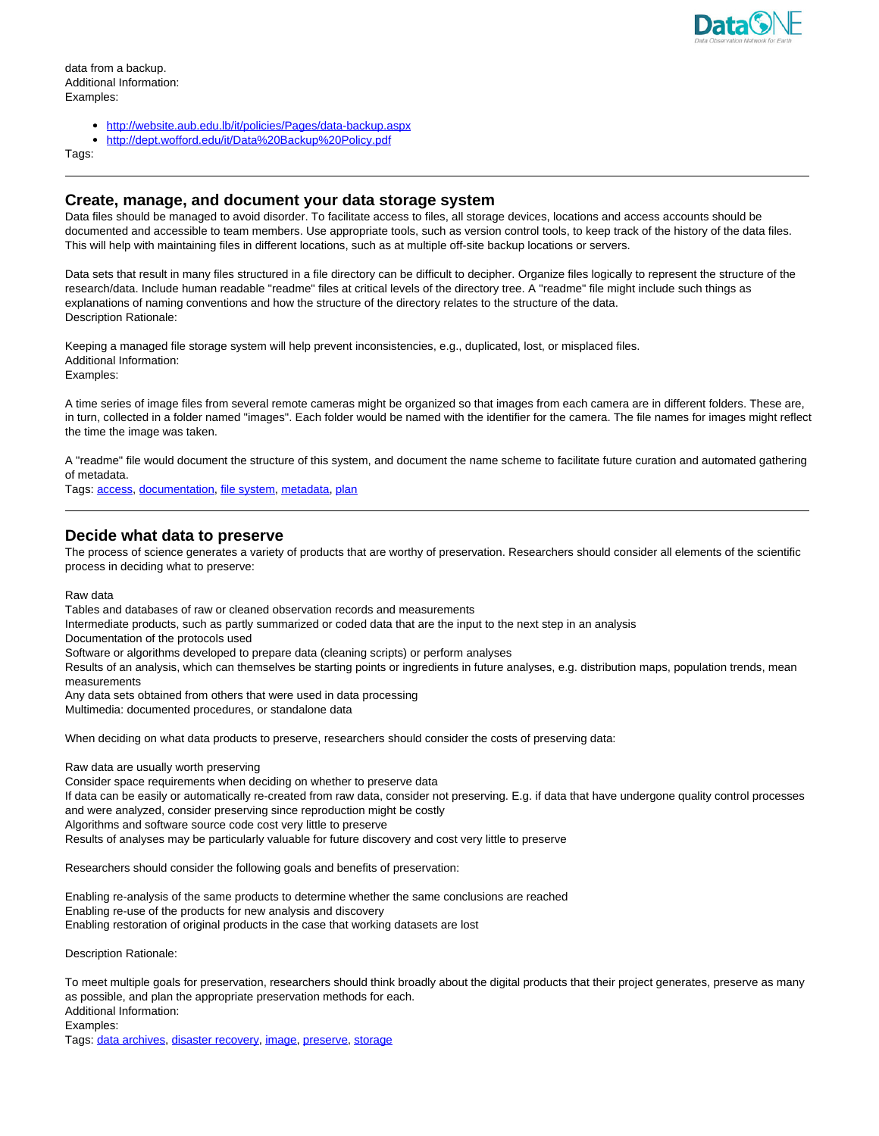

data from a backup. Additional Information: Examples:

- http://website.aub.edu.lb/it/policies/Pages/data-backup.aspx
- http://dept.wofford.edu/it/Data%20Backup%20Policy.pdf

Tags:

### **Create, manage, and document your data storage system**

Data files should be managed to avoid disorder. To facilitate access to files, all storage devices, locations and access accounts should be documented and accessible to team members. Use appropriate tools, such as version control tools, to keep track of the history of the data files. This will help with maintaining files in different locations, such as at multiple off-site backup locations or servers.

Data sets that result in many files structured in a file directory can be difficult to decipher. Organize files logically to represent the structure of the research/data. Include human readable "readme" files at critical levels of the directory tree. A "readme" file might include such things as explanations of naming conventions and how the structure of the directory relates to the structure of the data. Description Rationale:

Keeping a managed file storage system will help prevent inconsistencies, e.g., duplicated, lost, or misplaced files. Additional Information:

Examples:

A time series of image files from several remote cameras might be organized so that images from each camera are in different folders. These are, in turn, collected in a folder named "images". Each folder would be named with the identifier for the camera. The file names for images might reflect the time the image was taken.

A "readme" file would document the structure of this system, and document the name scheme to facilitate future curation and automated gathering of metadata.

Tags: access, documentation, file system, metadata, plan

### **Decide what data to preserve**

The process of science generates a variety of products that are worthy of preservation. Researchers should consider all elements of the scientific process in deciding what to preserve:

Raw data

Tables and databases of raw or cleaned observation records and measurements

Intermediate products, such as partly summarized or coded data that are the input to the next step in an analysis

Documentation of the protocols used

Software or algorithms developed to prepare data (cleaning scripts) or perform analyses

Results of an analysis, which can themselves be starting points or ingredients in future analyses, e.g. distribution maps, population trends, mean measurements

Any data sets obtained from others that were used in data processing Multimedia: documented procedures, or standalone data

When deciding on what data products to preserve, researchers should consider the costs of preserving data:

Raw data are usually worth preserving

Consider space requirements when deciding on whether to preserve data

If data can be easily or automatically re-created from raw data, consider not preserving. E.g. if data that have undergone quality control processes and were analyzed, consider preserving since reproduction might be costly

Algorithms and software source code cost very little to preserve

Results of analyses may be particularly valuable for future discovery and cost very little to preserve

Researchers should consider the following goals and benefits of preservation:

Enabling re-analysis of the same products to determine whether the same conclusions are reached Enabling re-use of the products for new analysis and discovery Enabling restoration of original products in the case that working datasets are lost

Description Rationale:

To meet multiple goals for preservation, researchers should think broadly about the digital products that their project generates, preserve as many as possible, and plan the appropriate preservation methods for each. Additional Information: Examples: Tags: data archives, disaster recovery, image, preserve, storage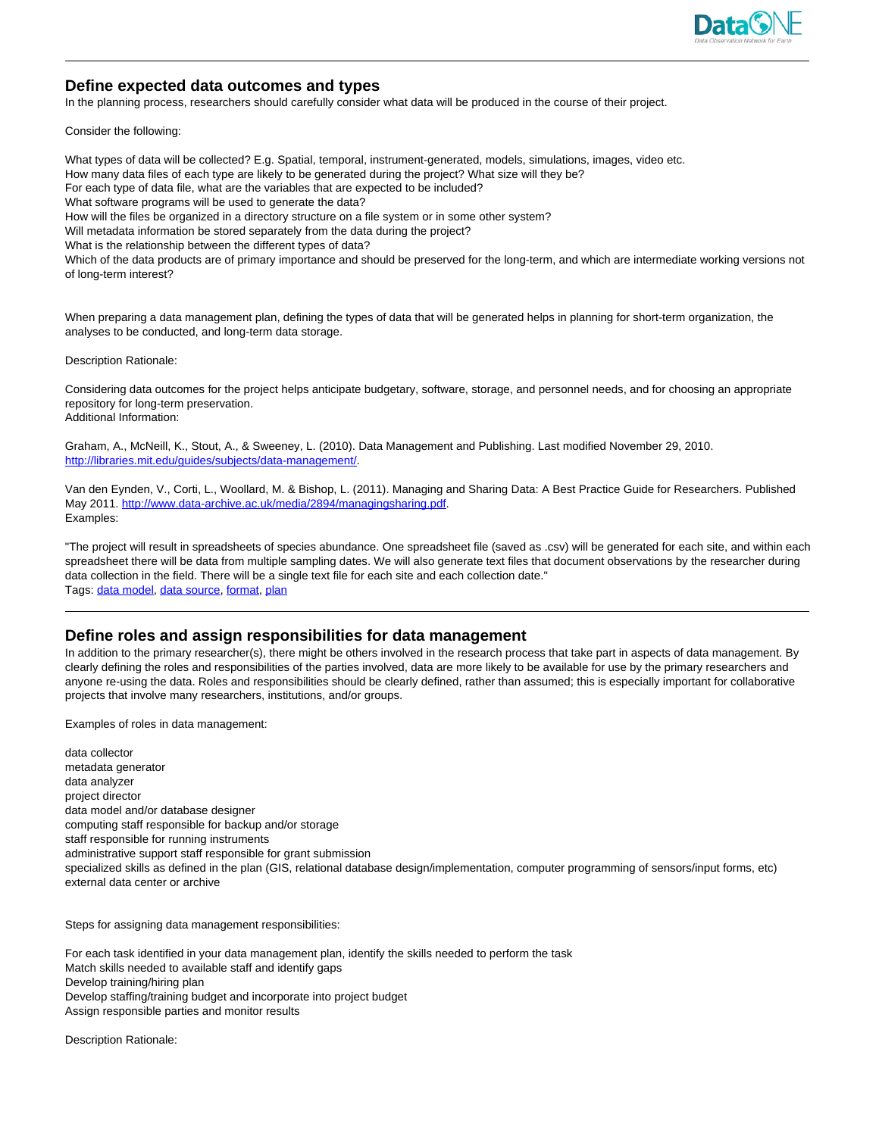

# **Define expected data outcomes and types**

In the planning process, researchers should carefully consider what data will be produced in the course of their project.

Consider the following:

What types of data will be collected? E.g. Spatial, temporal, instrument-generated, models, simulations, images, video etc. How many data files of each type are likely to be generated during the project? What size will they be? For each type of data file, what are the variables that are expected to be included? What software programs will be used to generate the data? How will the files be organized in a directory structure on a file system or in some other system? Will metadata information be stored separately from the data during the project? What is the relationship between the different types of data? Which of the data products are of primary importance and should be preserved for the long-term, and which are intermediate working versions not of long-term interest?

When preparing a data management plan, defining the types of data that will be generated helps in planning for short-term organization, the analyses to be conducted, and long-term data storage.

Description Rationale:

Considering data outcomes for the project helps anticipate budgetary, software, storage, and personnel needs, and for choosing an appropriate repository for long-term preservation. Additional Information:

Graham, A., McNeill, K., Stout, A., & Sweeney, L. (2010). Data Management and Publishing. Last modified November 29, 2010. http://libraries.mit.edu/guides/subjects/data-management/.

Van den Eynden, V., Corti, L., Woollard, M. & Bishop, L. (2011). Managing and Sharing Data: A Best Practice Guide for Researchers. Published May 2011. http://www.data-archive.ac.uk/media/2894/managingsharing.pdf. Examples:

"The project will result in spreadsheets of species abundance. One spreadsheet file (saved as .csv) will be generated for each site, and within each spreadsheet there will be data from multiple sampling dates. We will also generate text files that document observations by the researcher during data collection in the field. There will be a single text file for each site and each collection date." Tags: data model, data source, format, plan

### **Define roles and assign responsibilities for data management**

In addition to the primary researcher(s), there might be others involved in the research process that take part in aspects of data management. By clearly defining the roles and responsibilities of the parties involved, data are more likely to be available for use by the primary researchers and anyone re-using the data. Roles and responsibilities should be clearly defined, rather than assumed; this is especially important for collaborative projects that involve many researchers, institutions, and/or groups.

Examples of roles in data management:

data collector metadata generator data analyzer project director data model and/or database designer computing staff responsible for backup and/or storage staff responsible for running instruments administrative support staff responsible for grant submission specialized skills as defined in the plan (GIS, relational database design/implementation, computer programming of sensors/input forms, etc) external data center or archive

Steps for assigning data management responsibilities:

For each task identified in your data management plan, identify the skills needed to perform the task Match skills needed to available staff and identify gaps Develop training/hiring plan Develop staffing/training budget and incorporate into project budget Assign responsible parties and monitor results

Description Rationale: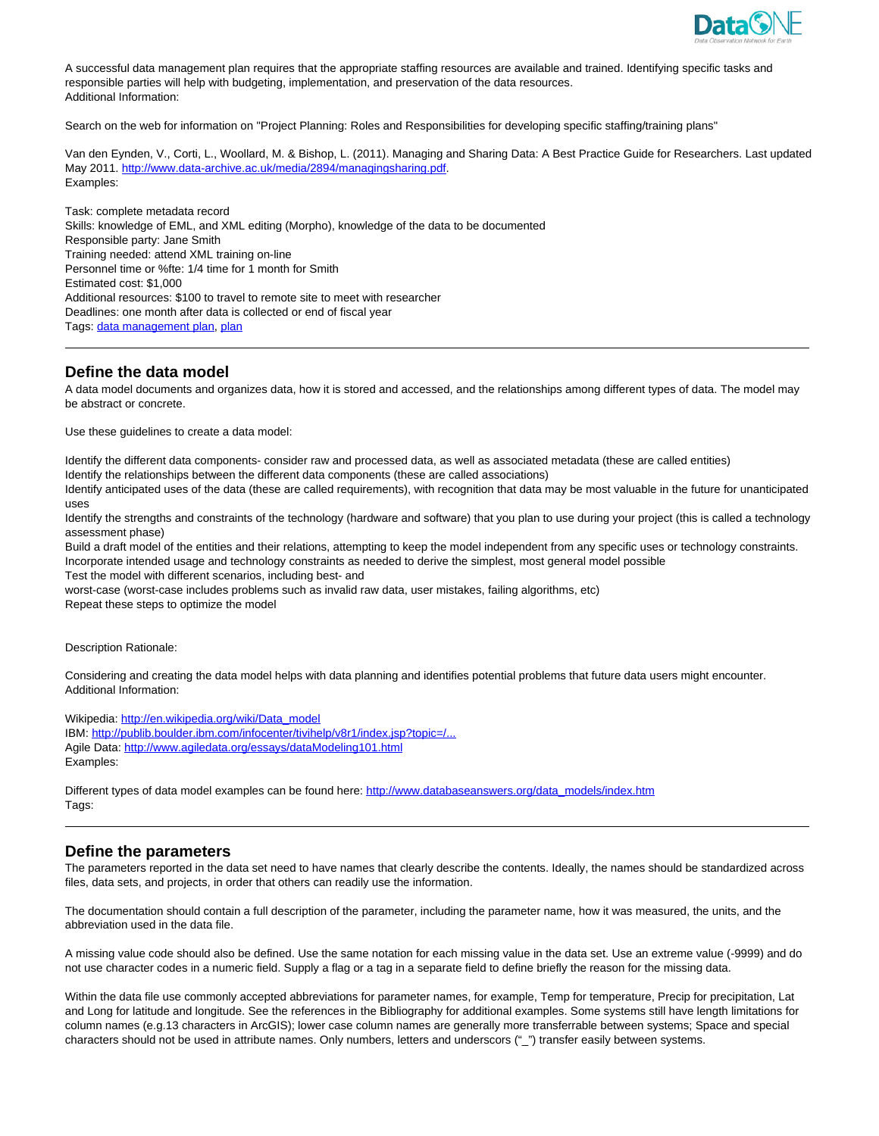

A successful data management plan requires that the appropriate staffing resources are available and trained. Identifying specific tasks and responsible parties will help with budgeting, implementation, and preservation of the data resources. Additional Information:

Search on the web for information on "Project Planning: Roles and Responsibilities for developing specific staffing/training plans"

Van den Eynden, V., Corti, L., Woollard, M. & Bishop, L. (2011). Managing and Sharing Data: A Best Practice Guide for Researchers. Last updated May 2011. http://www.data-archive.ac.uk/media/2894/managingsharing.pdf. Examples:

Task: complete metadata record Skills: knowledge of EML, and XML editing (Morpho), knowledge of the data to be documented Responsible party: Jane Smith Training needed: attend XML training on-line Personnel time or %fte: 1/4 time for 1 month for Smith Estimated cost: \$1,000 Additional resources: \$100 to travel to remote site to meet with researcher Deadlines: one month after data is collected or end of fiscal year Tags: data management plan, plan

# **Define the data model**

A data model documents and organizes data, how it is stored and accessed, and the relationships among different types of data. The model may be abstract or concrete.

Use these guidelines to create a data model:

Identify the different data components- consider raw and processed data, as well as associated metadata (these are called entities) Identify the relationships between the different data components (these are called associations)

Identify anticipated uses of the data (these are called requirements), with recognition that data may be most valuable in the future for unanticipated uses

Identify the strengths and constraints of the technology (hardware and software) that you plan to use during your project (this is called a technology assessment phase)

Build a draft model of the entities and their relations, attempting to keep the model independent from any specific uses or technology constraints. Incorporate intended usage and technology constraints as needed to derive the simplest, most general model possible

Test the model with different scenarios, including best- and

worst-case (worst-case includes problems such as invalid raw data, user mistakes, failing algorithms, etc) Repeat these steps to optimize the model

Description Rationale:

Considering and creating the data model helps with data planning and identifies potential problems that future data users might encounter. Additional Information:

Wikipedia: http://en.wikipedia.org/wiki/Data\_model IBM: http://publib.boulder.ibm.com/infocenter/tivihelp/v8r1/index.jsp?topic=/... Agile Data: http://www.agiledata.org/essays/dataModeling101.html Examples:

Different types of data model examples can be found here: http://www.databaseanswers.org/data\_models/index.htm Tags:

### **Define the parameters**

The parameters reported in the data set need to have names that clearly describe the contents. Ideally, the names should be standardized across files, data sets, and projects, in order that others can readily use the information.

The documentation should contain a full description of the parameter, including the parameter name, how it was measured, the units, and the abbreviation used in the data file.

A missing value code should also be defined. Use the same notation for each missing value in the data set. Use an extreme value (-9999) and do not use character codes in a numeric field. Supply a flag or a tag in a separate field to define briefly the reason for the missing data.

Within the data file use commonly accepted abbreviations for parameter names, for example, Temp for temperature, Precip for precipitation, Lat and Long for latitude and longitude. See the references in the Bibliography for additional examples. Some systems still have length limitations for column names (e.g.13 characters in ArcGIS); lower case column names are generally more transferrable between systems; Space and special characters should not be used in attribute names. Only numbers, letters and underscors ("\_") transfer easily between systems.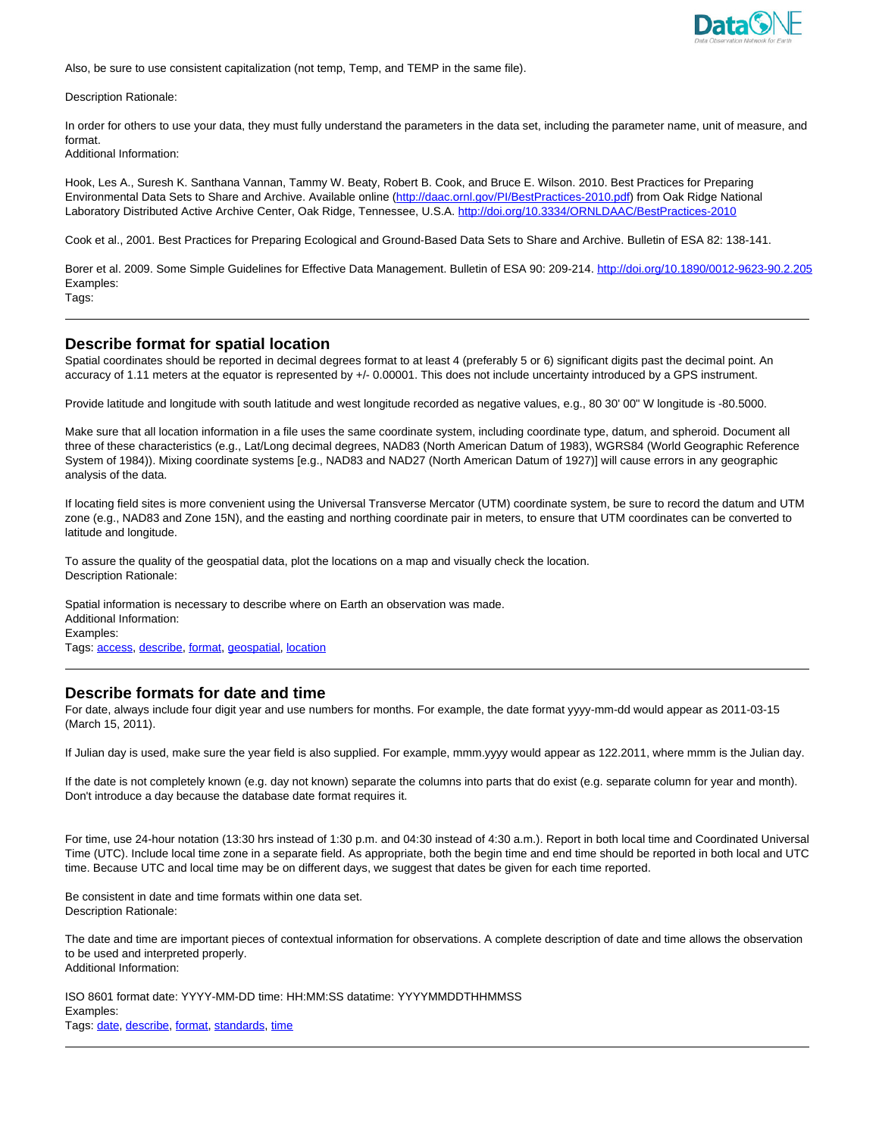

Also, be sure to use consistent capitalization (not temp, Temp, and TEMP in the same file).

Description Rationale:

In order for others to use your data, they must fully understand the parameters in the data set, including the parameter name, unit of measure, and format.

Additional Information:

Hook, Les A., Suresh K. Santhana Vannan, Tammy W. Beaty, Robert B. Cook, and Bruce E. Wilson. 2010. Best Practices for Preparing Environmental Data Sets to Share and Archive. Available online (http://daac.ornl.gov/PI/BestPractices-2010.pdf) from Oak Ridge National Laboratory Distributed Active Archive Center, Oak Ridge, Tennessee, U.S.A. http://doi.org/10.3334/ORNLDAAC/BestPractices-2010

Cook et al., 2001. Best Practices for Preparing Ecological and Ground-Based Data Sets to Share and Archive. Bulletin of ESA 82: 138-141.

Borer et al. 2009. Some Simple Guidelines for Effective Data Management. Bulletin of ESA 90: 209-214. http://doi.org/10.1890/0012-9623-90.2.205 Examples:

Tags:

### **Describe format for spatial location**

Spatial coordinates should be reported in decimal degrees format to at least 4 (preferably 5 or 6) significant digits past the decimal point. An accuracy of 1.11 meters at the equator is represented by +/- 0.00001. This does not include uncertainty introduced by a GPS instrument.

Provide latitude and longitude with south latitude and west longitude recorded as negative values, e.g., 80 30' 00" W longitude is -80.5000.

Make sure that all location information in a file uses the same coordinate system, including coordinate type, datum, and spheroid. Document all three of these characteristics (e.g., Lat/Long decimal degrees, NAD83 (North American Datum of 1983), WGRS84 (World Geographic Reference System of 1984)). Mixing coordinate systems [e.g., NAD83 and NAD27 (North American Datum of 1927)] will cause errors in any geographic analysis of the data.

If locating field sites is more convenient using the Universal Transverse Mercator (UTM) coordinate system, be sure to record the datum and UTM zone (e.g., NAD83 and Zone 15N), and the easting and northing coordinate pair in meters, to ensure that UTM coordinates can be converted to latitude and longitude.

To assure the quality of the geospatial data, plot the locations on a map and visually check the location. Description Rationale:

Spatial information is necessary to describe where on Earth an observation was made. Additional Information: Examples: Tags: access, describe, format, geospatial, location

### **Describe formats for date and time**

For date, always include four digit year and use numbers for months. For example, the date format yyyy-mm-dd would appear as 2011-03-15 (March 15, 2011).

If Julian day is used, make sure the year field is also supplied. For example, mmm.yyyy would appear as 122.2011, where mmm is the Julian day.

If the date is not completely known (e.g. day not known) separate the columns into parts that do exist (e.g. separate column for year and month). Don't introduce a day because the database date format requires it.

For time, use 24-hour notation (13:30 hrs instead of 1:30 p.m. and 04:30 instead of 4:30 a.m.). Report in both local time and Coordinated Universal Time (UTC). Include local time zone in a separate field. As appropriate, both the begin time and end time should be reported in both local and UTC time. Because UTC and local time may be on different days, we suggest that dates be given for each time reported.

Be consistent in date and time formats within one data set. Description Rationale:

The date and time are important pieces of contextual information for observations. A complete description of date and time allows the observation to be used and interpreted properly. Additional Information:

ISO 8601 format date: YYYY-MM-DD time: HH:MM:SS datatime: YYYYMMDDTHHMMSS Examples: Tags: date, describe, format, standards, time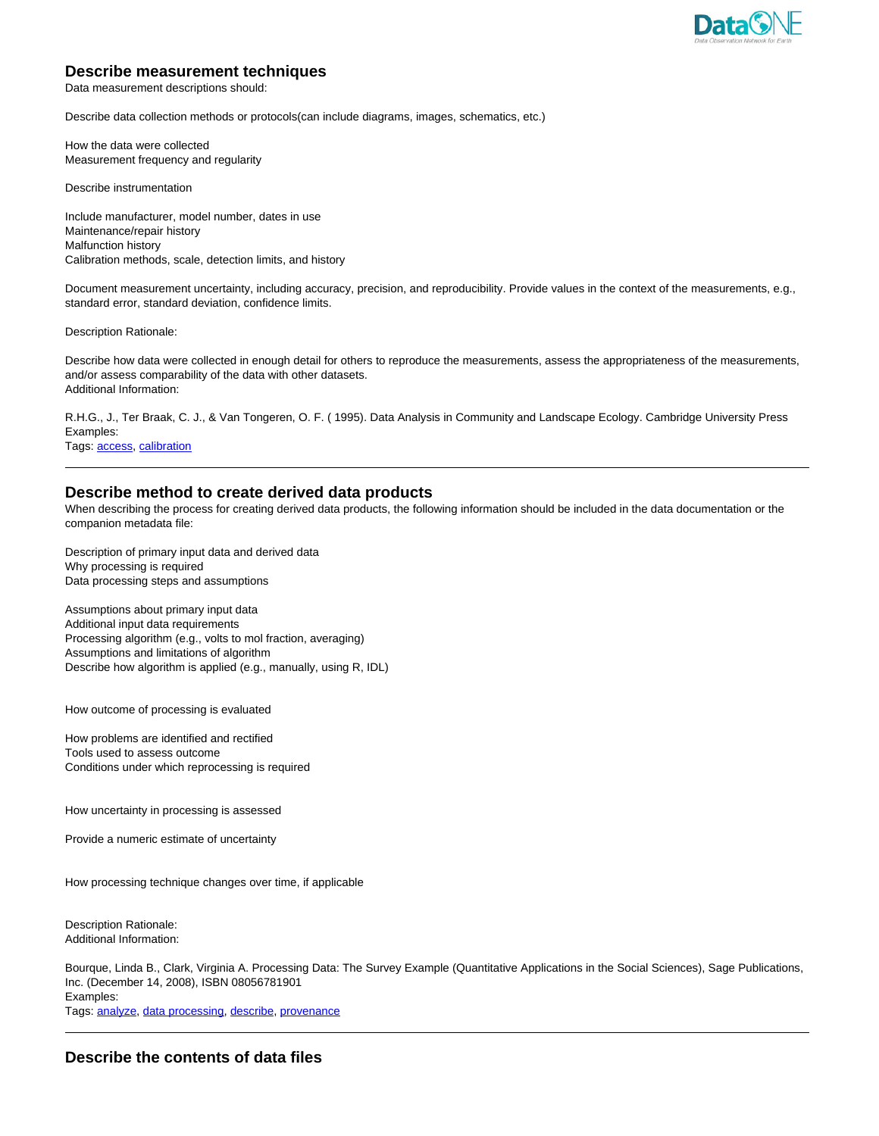

# **Describe measurement techniques**

Data measurement descriptions should:

Describe data collection methods or protocols(can include diagrams, images, schematics, etc.)

How the data were collected Measurement frequency and regularity

Describe instrumentation

Include manufacturer, model number, dates in use Maintenance/repair history Malfunction history Calibration methods, scale, detection limits, and history

Document measurement uncertainty, including accuracy, precision, and reproducibility. Provide values in the context of the measurements, e.g., standard error, standard deviation, confidence limits.

Description Rationale:

Describe how data were collected in enough detail for others to reproduce the measurements, assess the appropriateness of the measurements, and/or assess comparability of the data with other datasets. Additional Information:

R.H.G., J., Ter Braak, C. J., & Van Tongeren, O. F. ( 1995). Data Analysis in Community and Landscape Ecology. Cambridge University Press Examples:

Tags: access, calibration

### **Describe method to create derived data products**

When describing the process for creating derived data products, the following information should be included in the data documentation or the companion metadata file:

Description of primary input data and derived data Why processing is required Data processing steps and assumptions

Assumptions about primary input data Additional input data requirements Processing algorithm (e.g., volts to mol fraction, averaging) Assumptions and limitations of algorithm Describe how algorithm is applied (e.g., manually, using R, IDL)

How outcome of processing is evaluated

How problems are identified and rectified Tools used to assess outcome Conditions under which reprocessing is required

How uncertainty in processing is assessed

Provide a numeric estimate of uncertainty

How processing technique changes over time, if applicable

Description Rationale: Additional Information:

Bourque, Linda B., Clark, Virginia A. Processing Data: The Survey Example (Quantitative Applications in the Social Sciences), Sage Publications, Inc. (December 14, 2008), ISBN 08056781901 Examples: Tags: analyze, data processing, describe, provenance

**Describe the contents of data files**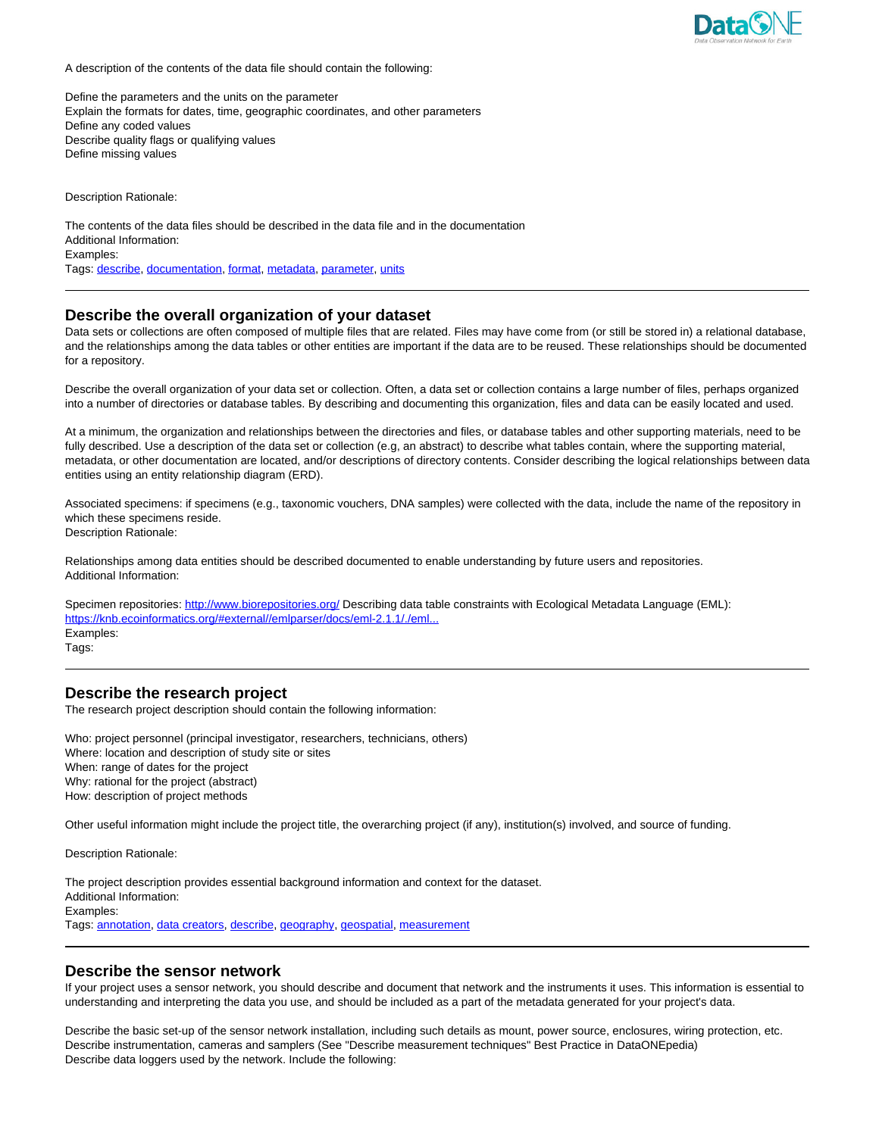

A description of the contents of the data file should contain the following:

Define the parameters and the units on the parameter Explain the formats for dates, time, geographic coordinates, and other parameters Define any coded values Describe quality flags or qualifying values Define missing values

Description Rationale:

The contents of the data files should be described in the data file and in the documentation Additional Information: Examples:

Tags: describe, documentation, format, metadata, parameter, units

### **Describe the overall organization of your dataset**

Data sets or collections are often composed of multiple files that are related. Files may have come from (or still be stored in) a relational database, and the relationships among the data tables or other entities are important if the data are to be reused. These relationships should be documented for a repository.

Describe the overall organization of your data set or collection. Often, a data set or collection contains a large number of files, perhaps organized into a number of directories or database tables. By describing and documenting this organization, files and data can be easily located and used.

At a minimum, the organization and relationships between the directories and files, or database tables and other supporting materials, need to be fully described. Use a description of the data set or collection (e.g, an abstract) to describe what tables contain, where the supporting material, metadata, or other documentation are located, and/or descriptions of directory contents. Consider describing the logical relationships between data entities using an entity relationship diagram (ERD).

Associated specimens: if specimens (e.g., taxonomic vouchers, DNA samples) were collected with the data, include the name of the repository in which these specimens reside.

Description Rationale:

Relationships among data entities should be described documented to enable understanding by future users and repositories. Additional Information:

Specimen repositories: http://www.biorepositories.org/ Describing data table constraints with Ecological Metadata Language (EML): https://knb.ecoinformatics.org/#external//emlparser/docs/eml-2.1.1/./eml. Examples: Tags:

### **Describe the research project**

The research project description should contain the following information:

Who: project personnel (principal investigator, researchers, technicians, others) Where: location and description of study site or sites When: range of dates for the project Why: rational for the project (abstract) How: description of project methods

Other useful information might include the project title, the overarching project (if any), institution(s) involved, and source of funding.

Description Rationale:

The project description provides essential background information and context for the dataset. Additional Information: Examples: Tags: annotation, data creators, describe, geography, geospatial, measurement

### **Describe the sensor network**

If your project uses a sensor network, you should describe and document that network and the instruments it uses. This information is essential to understanding and interpreting the data you use, and should be included as a part of the metadata generated for your project's data.

Describe the basic set-up of the sensor network installation, including such details as mount, power source, enclosures, wiring protection, etc. Describe instrumentation, cameras and samplers (See "Describe measurement techniques" Best Practice in DataONEpedia) Describe data loggers used by the network. Include the following: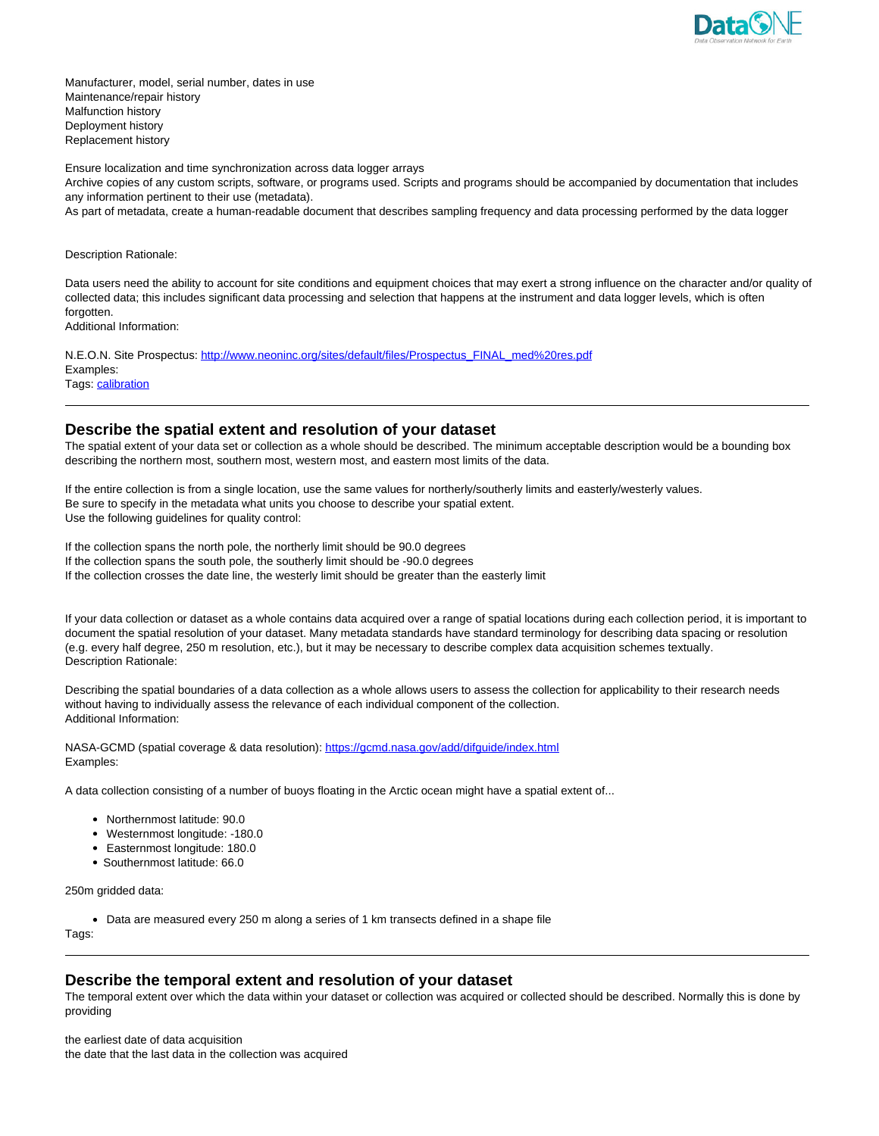

Manufacturer, model, serial number, dates in use Maintenance/repair history Malfunction history Deployment history Replacement history

Ensure localization and time synchronization across data logger arrays

Archive copies of any custom scripts, software, or programs used. Scripts and programs should be accompanied by documentation that includes any information pertinent to their use (metadata).

As part of metadata, create a human-readable document that describes sampling frequency and data processing performed by the data logger

Description Rationale:

Data users need the ability to account for site conditions and equipment choices that may exert a strong influence on the character and/or quality of collected data; this includes significant data processing and selection that happens at the instrument and data logger levels, which is often forgotten.

Additional Information:

N.E.O.N. Site Prospectus: http://www.neoninc.org/sites/default/files/Prospectus\_FINAL\_med%20res.pdf Examples: Tags: calibration

# **Describe the spatial extent and resolution of your dataset**

The spatial extent of your data set or collection as a whole should be described. The minimum acceptable description would be a bounding box describing the northern most, southern most, western most, and eastern most limits of the data.

If the entire collection is from a single location, use the same values for northerly/southerly limits and easterly/westerly values. Be sure to specify in the metadata what units you choose to describe your spatial extent. Use the following guidelines for quality control:

If the collection spans the north pole, the northerly limit should be 90.0 degrees If the collection spans the south pole, the southerly limit should be -90.0 degrees If the collection crosses the date line, the westerly limit should be greater than the easterly limit

If your data collection or dataset as a whole contains data acquired over a range of spatial locations during each collection period, it is important to document the spatial resolution of your dataset. Many metadata standards have standard terminology for describing data spacing or resolution (e.g. every half degree, 250 m resolution, etc.), but it may be necessary to describe complex data acquisition schemes textually. Description Rationale:

Describing the spatial boundaries of a data collection as a whole allows users to assess the collection for applicability to their research needs without having to individually assess the relevance of each individual component of the collection. Additional Information:

NASA-GCMD (spatial coverage & data resolution): https://gcmd.nasa.gov/add/difguide/index.html Examples:

A data collection consisting of a number of buoys floating in the Arctic ocean might have a spatial extent of...

- Northernmost latitude: 90.0
- Westernmost longitude: -180.0
- Easternmost longitude: 180.0
- Southernmost latitude: 66.0

250m gridded data:

Data are measured every 250 m along a series of 1 km transects defined in a shape file

Tags:

# **Describe the temporal extent and resolution of your dataset**

The temporal extent over which the data within your dataset or collection was acquired or collected should be described. Normally this is done by providing

the earliest date of data acquisition the date that the last data in the collection was acquired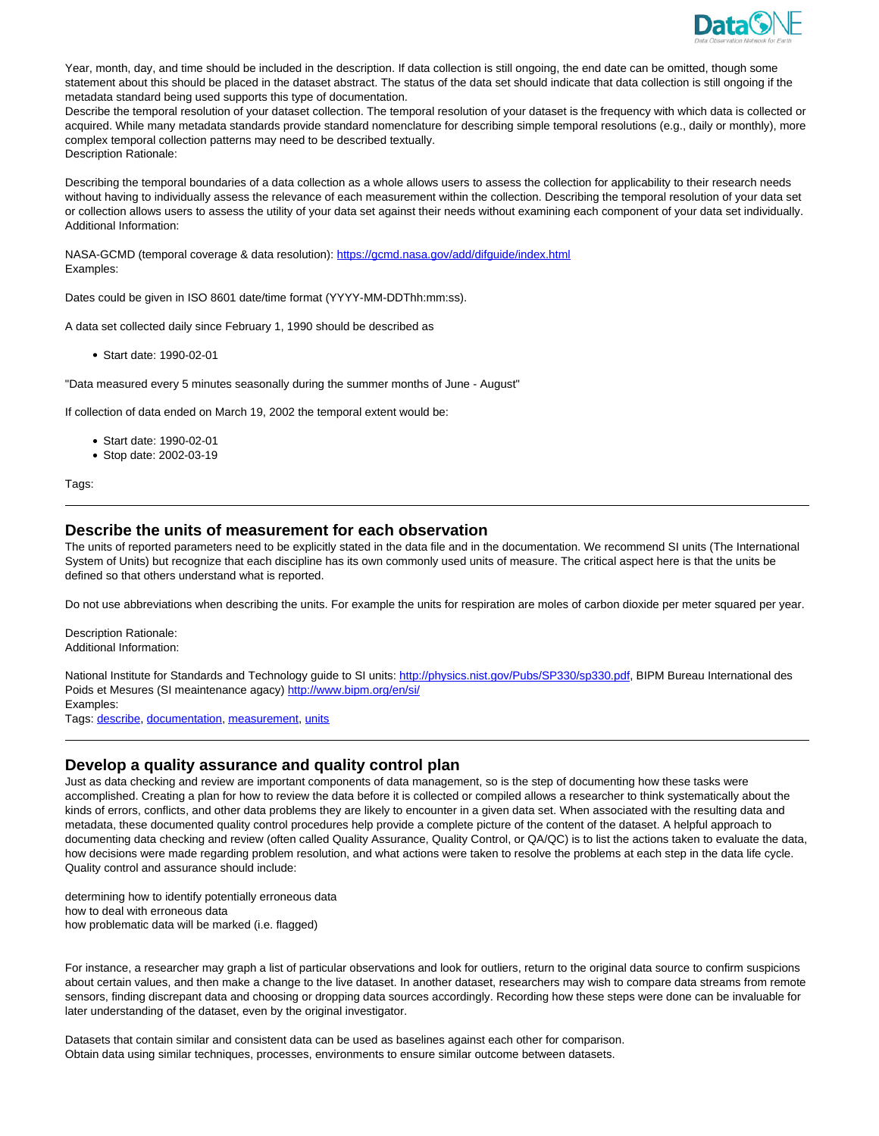

Year, month, day, and time should be included in the description. If data collection is still ongoing, the end date can be omitted, though some statement about this should be placed in the dataset abstract. The status of the data set should indicate that data collection is still ongoing if the metadata standard being used supports this type of documentation.

Describe the temporal resolution of your dataset collection. The temporal resolution of your dataset is the frequency with which data is collected or acquired. While many metadata standards provide standard nomenclature for describing simple temporal resolutions (e.g., daily or monthly), more complex temporal collection patterns may need to be described textually. Description Rationale:

Describing the temporal boundaries of a data collection as a whole allows users to assess the collection for applicability to their research needs without having to individually assess the relevance of each measurement within the collection. Describing the temporal resolution of your data set or collection allows users to assess the utility of your data set against their needs without examining each component of your data set individually. Additional Information:

NASA-GCMD (temporal coverage & data resolution): https://gcmd.nasa.gov/add/difguide/index.html Examples:

Dates could be given in ISO 8601 date/time format (YYYY-MM-DDThh:mm:ss).

A data set collected daily since February 1, 1990 should be described as

Start date: 1990-02-01

"Data measured every 5 minutes seasonally during the summer months of June - August"

If collection of data ended on March 19, 2002 the temporal extent would be:

- Start date: 1990-02-01
- Stop date: 2002-03-19

Tags:

### **Describe the units of measurement for each observation**

The units of reported parameters need to be explicitly stated in the data file and in the documentation. We recommend SI units (The International System of Units) but recognize that each discipline has its own commonly used units of measure. The critical aspect here is that the units be defined so that others understand what is reported.

Do not use abbreviations when describing the units. For example the units for respiration are moles of carbon dioxide per meter squared per year.

Description Rationale: Additional Information:

National Institute for Standards and Technology guide to SI units: http://physics.nist.gov/Pubs/SP330/sp330.pdf, BIPM Bureau International des Poids et Mesures (SI meaintenance agacy) http://www.bipm.org/en/si/ Examples:

Tags: describe, documentation, measurement, units

# **Develop a quality assurance and quality control plan**

Just as data checking and review are important components of data management, so is the step of documenting how these tasks were accomplished. Creating a plan for how to review the data before it is collected or compiled allows a researcher to think systematically about the kinds of errors, conflicts, and other data problems they are likely to encounter in a given data set. When associated with the resulting data and metadata, these documented quality control procedures help provide a complete picture of the content of the dataset. A helpful approach to documenting data checking and review (often called Quality Assurance, Quality Control, or QA/QC) is to list the actions taken to evaluate the data, how decisions were made regarding problem resolution, and what actions were taken to resolve the problems at each step in the data life cycle. Quality control and assurance should include:

determining how to identify potentially erroneous data how to deal with erroneous data how problematic data will be marked (i.e. flagged)

For instance, a researcher may graph a list of particular observations and look for outliers, return to the original data source to confirm suspicions about certain values, and then make a change to the live dataset. In another dataset, researchers may wish to compare data streams from remote sensors, finding discrepant data and choosing or dropping data sources accordingly. Recording how these steps were done can be invaluable for later understanding of the dataset, even by the original investigator.

Datasets that contain similar and consistent data can be used as baselines against each other for comparison. Obtain data using similar techniques, processes, environments to ensure similar outcome between datasets.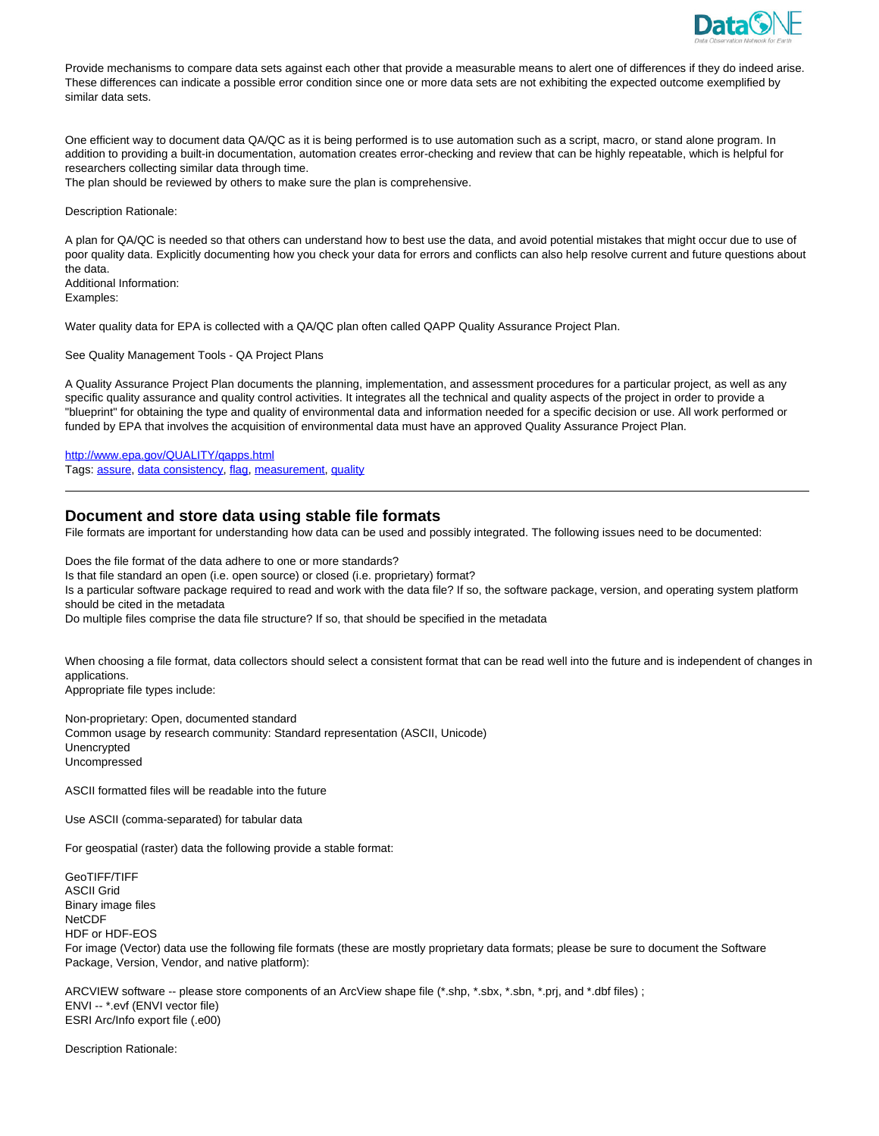

Provide mechanisms to compare data sets against each other that provide a measurable means to alert one of differences if they do indeed arise. These differences can indicate a possible error condition since one or more data sets are not exhibiting the expected outcome exemplified by similar data sets.

One efficient way to document data QA/QC as it is being performed is to use automation such as a script, macro, or stand alone program. In addition to providing a built-in documentation, automation creates error-checking and review that can be highly repeatable, which is helpful for researchers collecting similar data through time.

The plan should be reviewed by others to make sure the plan is comprehensive.

Description Rationale:

A plan for QA/QC is needed so that others can understand how to best use the data, and avoid potential mistakes that might occur due to use of poor quality data. Explicitly documenting how you check your data for errors and conflicts can also help resolve current and future questions about the data. Additional Information: Examples:

Water quality data for EPA is collected with a QA/QC plan often called QAPP Quality Assurance Project Plan.

See Quality Management Tools - QA Project Plans

A Quality Assurance Project Plan documents the planning, implementation, and assessment procedures for a particular project, as well as any specific quality assurance and quality control activities. It integrates all the technical and quality aspects of the project in order to provide a "blueprint" for obtaining the type and quality of environmental data and information needed for a specific decision or use. All work performed or funded by EPA that involves the acquisition of environmental data must have an approved Quality Assurance Project Plan.

http://www.epa.gov/QUALITY/qapps.html Tags: assure, data consistency, flag, measurement, quality

### **Document and store data using stable file formats**

File formats are important for understanding how data can be used and possibly integrated. The following issues need to be documented:

Does the file format of the data adhere to one or more standards? Is that file standard an open (i.e. open source) or closed (i.e. proprietary) format? Is a particular software package required to read and work with the data file? If so, the software package, version, and operating system platform should be cited in the metadata

Do multiple files comprise the data file structure? If so, that should be specified in the metadata

When choosing a file format, data collectors should select a consistent format that can be read well into the future and is independent of changes in applications.

Appropriate file types include:

Non-proprietary: Open, documented standard Common usage by research community: Standard representation (ASCII, Unicode) Unencrypted Uncompressed

ASCII formatted files will be readable into the future

Use ASCII (comma-separated) for tabular data

For geospatial (raster) data the following provide a stable format:

GeoTIFF/TIFF ASCII Grid Binary image files **NetCDF** HDF or HDF-EOS For image (Vector) data use the following file formats (these are mostly proprietary data formats; please be sure to document the Software Package, Version, Vendor, and native platform):

ARCVIEW software -- please store components of an ArcView shape file (\*.shp, \*.sbx, \*.sbn, \*.prj, and \*.dbf files) ; ENVI -- \*.evf (ENVI vector file) ESRI Arc/Info export file (.e00)

Description Rationale: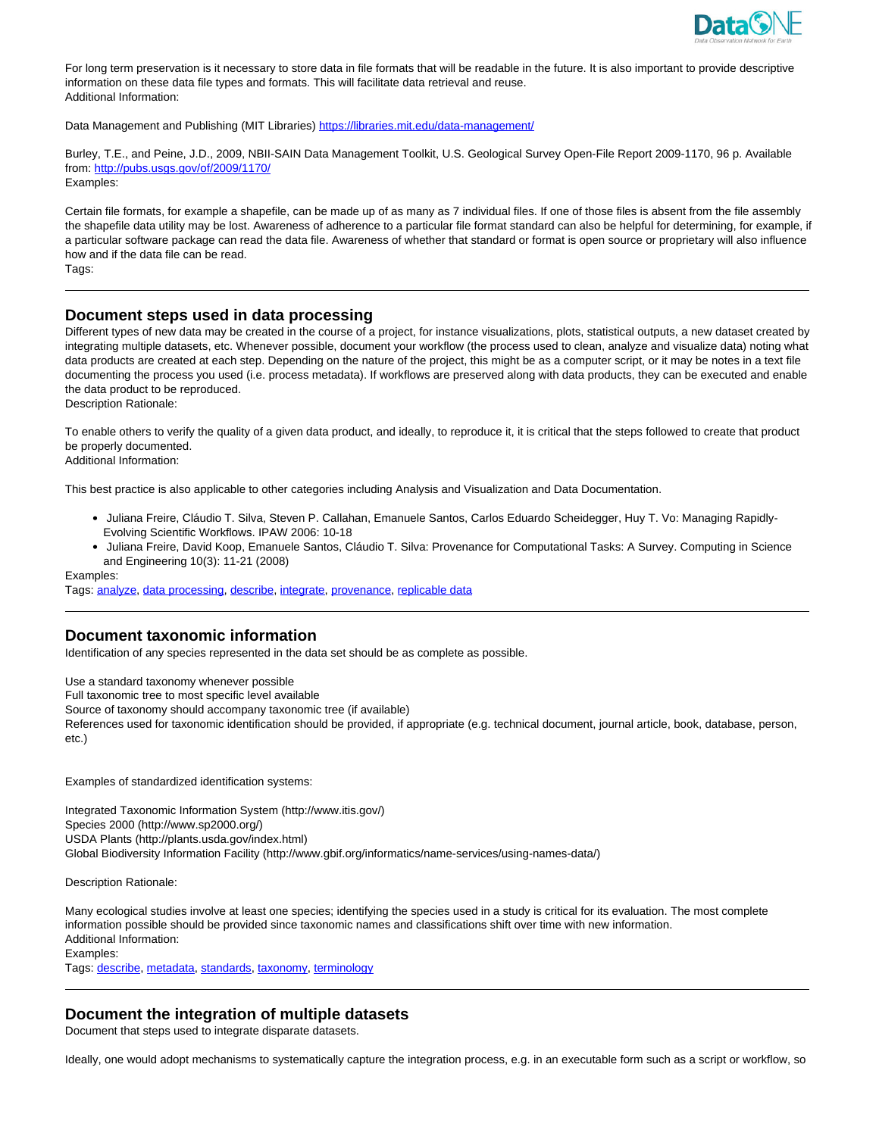

For long term preservation is it necessary to store data in file formats that will be readable in the future. It is also important to provide descriptive information on these data file types and formats. This will facilitate data retrieval and reuse. Additional Information:

Data Management and Publishing (MIT Libraries) https://libraries.mit.edu/data-management/

Burley, T.E., and Peine, J.D., 2009, NBII-SAIN Data Management Toolkit, U.S. Geological Survey Open-File Report 2009-1170, 96 p. Available from: http://pubs.usgs.gov/of/2009/1170/ Examples:

Certain file formats, for example a shapefile, can be made up of as many as 7 individual files. If one of those files is absent from the file assembly the shapefile data utility may be lost. Awareness of adherence to a particular file format standard can also be helpful for determining, for example, if a particular software package can read the data file. Awareness of whether that standard or format is open source or proprietary will also influence how and if the data file can be read.

Tags:

# **Document steps used in data processing**

Different types of new data may be created in the course of a project, for instance visualizations, plots, statistical outputs, a new dataset created by integrating multiple datasets, etc. Whenever possible, document your workflow (the process used to clean, analyze and visualize data) noting what data products are created at each step. Depending on the nature of the project, this might be as a computer script, or it may be notes in a text file documenting the process you used (i.e. process metadata). If workflows are preserved along with data products, they can be executed and enable the data product to be reproduced.

Description Rationale:

To enable others to verify the quality of a given data product, and ideally, to reproduce it, it is critical that the steps followed to create that product be properly documented.

Additional Information:

This best practice is also applicable to other categories including Analysis and Visualization and Data Documentation.

- Juliana Freire, Cláudio T. Silva, Steven P. Callahan, Emanuele Santos, Carlos Eduardo Scheidegger, Huy T. Vo: Managing Rapidly-Evolving Scientific Workflows. IPAW 2006: 10-18
- Juliana Freire, David Koop, Emanuele Santos, Cláudio T. Silva: Provenance for Computational Tasks: A Survey. Computing in Science and Engineering 10(3): 11-21 (2008)

Examples:

Tags: analyze, data processing, describe, integrate, provenance, replicable data

# **Document taxonomic information**

Identification of any species represented in the data set should be as complete as possible.

Use a standard taxonomy whenever possible

Full taxonomic tree to most specific level available

Source of taxonomy should accompany taxonomic tree (if available)

References used for taxonomic identification should be provided, if appropriate (e.g. technical document, journal article, book, database, person, etc.)

Examples of standardized identification systems:

Integrated Taxonomic Information System (http://www.itis.gov/) Species 2000 (http://www.sp2000.org/) USDA Plants (http://plants.usda.gov/index.html) Global Biodiversity Information Facility (http://www.gbif.org/informatics/name-services/using-names-data/)

Description Rationale:

Many ecological studies involve at least one species; identifying the species used in a study is critical for its evaluation. The most complete information possible should be provided since taxonomic names and classifications shift over time with new information. Additional Information: Examples:

Tags: describe, metadata, standards, taxonomy, terminology

# **Document the integration of multiple datasets**

Document that steps used to integrate disparate datasets.

Ideally, one would adopt mechanisms to systematically capture the integration process, e.g. in an executable form such as a script or workflow, so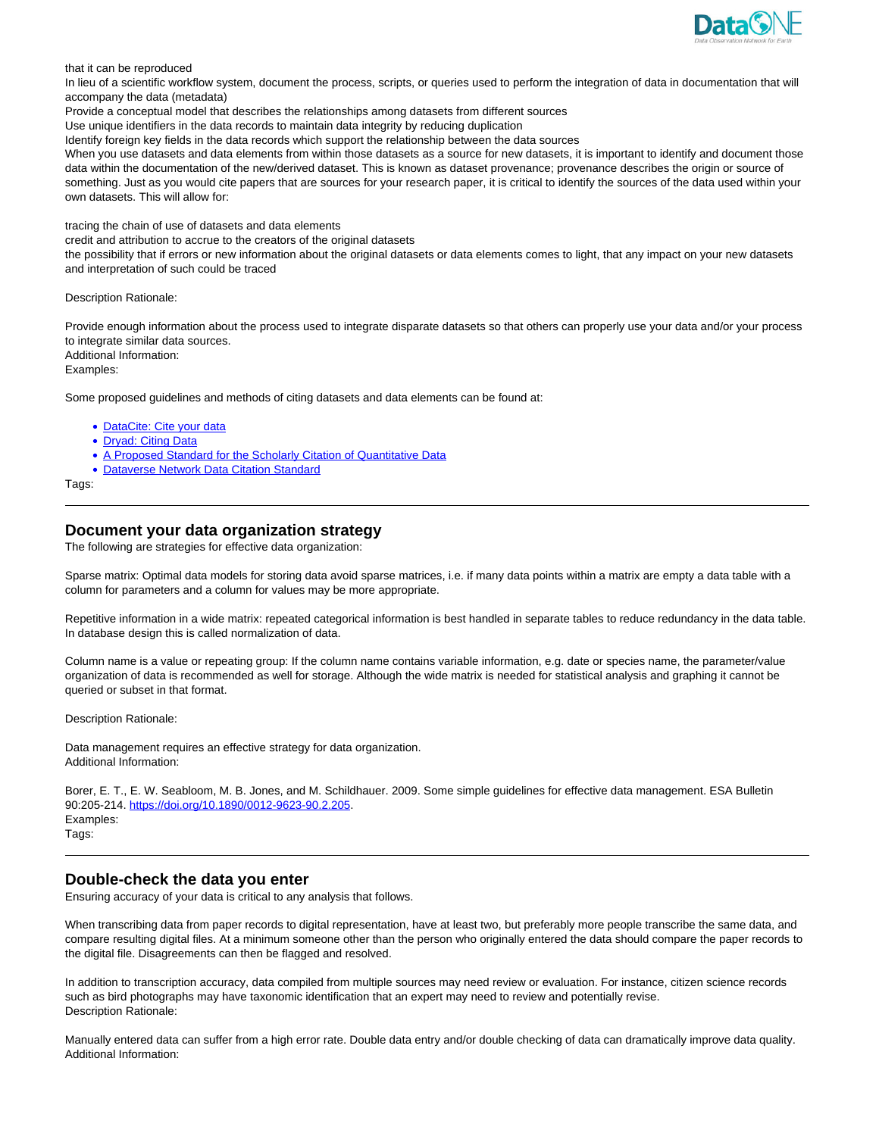

that it can be reproduced

In lieu of a scientific workflow system, document the process, scripts, or queries used to perform the integration of data in documentation that will accompany the data (metadata)

Provide a conceptual model that describes the relationships among datasets from different sources

Use unique identifiers in the data records to maintain data integrity by reducing duplication

Identify foreign key fields in the data records which support the relationship between the data sources

When you use datasets and data elements from within those datasets as a source for new datasets, it is important to identify and document those data within the documentation of the new/derived dataset. This is known as dataset provenance; provenance describes the origin or source of something. Just as you would cite papers that are sources for your research paper, it is critical to identify the sources of the data used within your own datasets. This will allow for:

tracing the chain of use of datasets and data elements

credit and attribution to accrue to the creators of the original datasets

the possibility that if errors or new information about the original datasets or data elements comes to light, that any impact on your new datasets and interpretation of such could be traced

Description Rationale:

Provide enough information about the process used to integrate disparate datasets so that others can properly use your data and/or your process to integrate similar data sources. Additional Information:

Examples:

Some proposed guidelines and methods of citing datasets and data elements can be found at:

- DataCite: Cite your data
- Dryad: Citing Data
- A Proposed Standard for the Scholarly Citation of Quantitative Data
- Dataverse Network Data Citation Standard

Tags:

# **Document your data organization strategy**

The following are strategies for effective data organization:

Sparse matrix: Optimal data models for storing data avoid sparse matrices, i.e. if many data points within a matrix are empty a data table with a column for parameters and a column for values may be more appropriate.

Repetitive information in a wide matrix: repeated categorical information is best handled in separate tables to reduce redundancy in the data table. In database design this is called normalization of data.

Column name is a value or repeating group: If the column name contains variable information, e.g. date or species name, the parameter/value organization of data is recommended as well for storage. Although the wide matrix is needed for statistical analysis and graphing it cannot be queried or subset in that format.

Description Rationale:

Data management requires an effective strategy for data organization. Additional Information:

Borer, E. T., E. W. Seabloom, M. B. Jones, and M. Schildhauer. 2009. Some simple guidelines for effective data management. ESA Bulletin 90:205-214. https://doi.org/10.1890/0012-9623-90.2.205. Examples: Tags:

# **Double-check the data you enter**

Ensuring accuracy of your data is critical to any analysis that follows.

When transcribing data from paper records to digital representation, have at least two, but preferably more people transcribe the same data, and compare resulting digital files. At a minimum someone other than the person who originally entered the data should compare the paper records to the digital file. Disagreements can then be flagged and resolved.

In addition to transcription accuracy, data compiled from multiple sources may need review or evaluation. For instance, citizen science records such as bird photographs may have taxonomic identification that an expert may need to review and potentially revise. Description Rationale:

Manually entered data can suffer from a high error rate. Double data entry and/or double checking of data can dramatically improve data quality. Additional Information: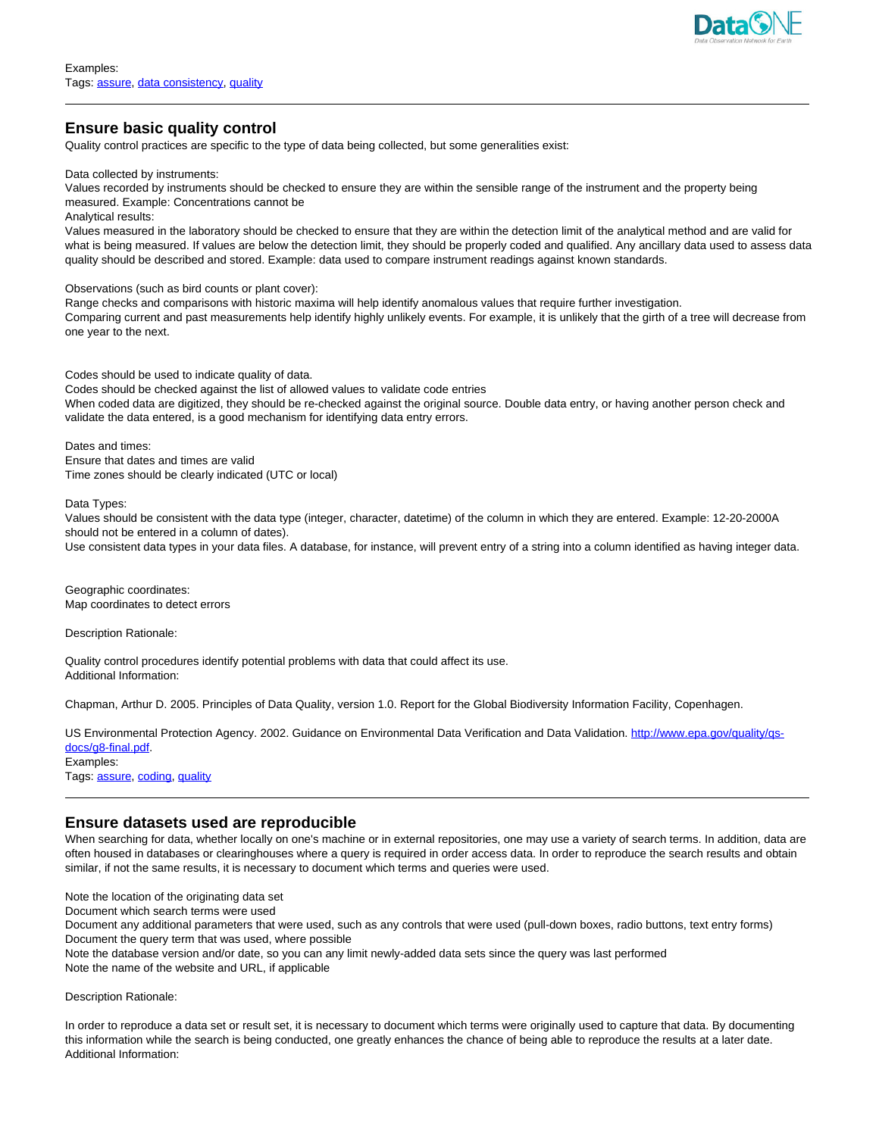

# **Ensure basic quality control**

Quality control practices are specific to the type of data being collected, but some generalities exist:

Data collected by instruments:

Values recorded by instruments should be checked to ensure they are within the sensible range of the instrument and the property being measured. Example: Concentrations cannot be

Analytical results:

Values measured in the laboratory should be checked to ensure that they are within the detection limit of the analytical method and are valid for what is being measured. If values are below the detection limit, they should be properly coded and qualified. Any ancillary data used to assess data quality should be described and stored. Example: data used to compare instrument readings against known standards.

Observations (such as bird counts or plant cover):

Range checks and comparisons with historic maxima will help identify anomalous values that require further investigation. Comparing current and past measurements help identify highly unlikely events. For example, it is unlikely that the girth of a tree will decrease from one year to the next.

Codes should be used to indicate quality of data.

Codes should be checked against the list of allowed values to validate code entries When coded data are digitized, they should be re-checked against the original source. Double data entry, or having another person check and validate the data entered, is a good mechanism for identifying data entry errors.

Dates and times: Ensure that dates and times are valid Time zones should be clearly indicated (UTC or local)

Data Types:

Values should be consistent with the data type (integer, character, datetime) of the column in which they are entered. Example: 12-20-2000A should not be entered in a column of dates).

Use consistent data types in your data files. A database, for instance, will prevent entry of a string into a column identified as having integer data.

Geographic coordinates: Map coordinates to detect errors

Description Rationale:

Quality control procedures identify potential problems with data that could affect its use. Additional Information:

Chapman, Arthur D. 2005. Principles of Data Quality, version 1.0. Report for the Global Biodiversity Information Facility, Copenhagen.

US Environmental Protection Agency. 2002. Guidance on Environmental Data Verification and Data Validation. http://www.epa.gov/quality/qsdocs/g8-final.pdf. Examples:

Tags: assure, coding, quality

# **Ensure datasets used are reproducible**

When searching for data, whether locally on one's machine or in external repositories, one may use a variety of search terms. In addition, data are often housed in databases or clearinghouses where a query is required in order access data. In order to reproduce the search results and obtain similar, if not the same results, it is necessary to document which terms and queries were used.

Note the location of the originating data set

Document which search terms were used

Document any additional parameters that were used, such as any controls that were used (pull-down boxes, radio buttons, text entry forms) Document the query term that was used, where possible

Note the database version and/or date, so you can any limit newly-added data sets since the query was last performed

Note the name of the website and URL, if applicable

Description Rationale:

In order to reproduce a data set or result set, it is necessary to document which terms were originally used to capture that data. By documenting this information while the search is being conducted, one greatly enhances the chance of being able to reproduce the results at a later date. Additional Information: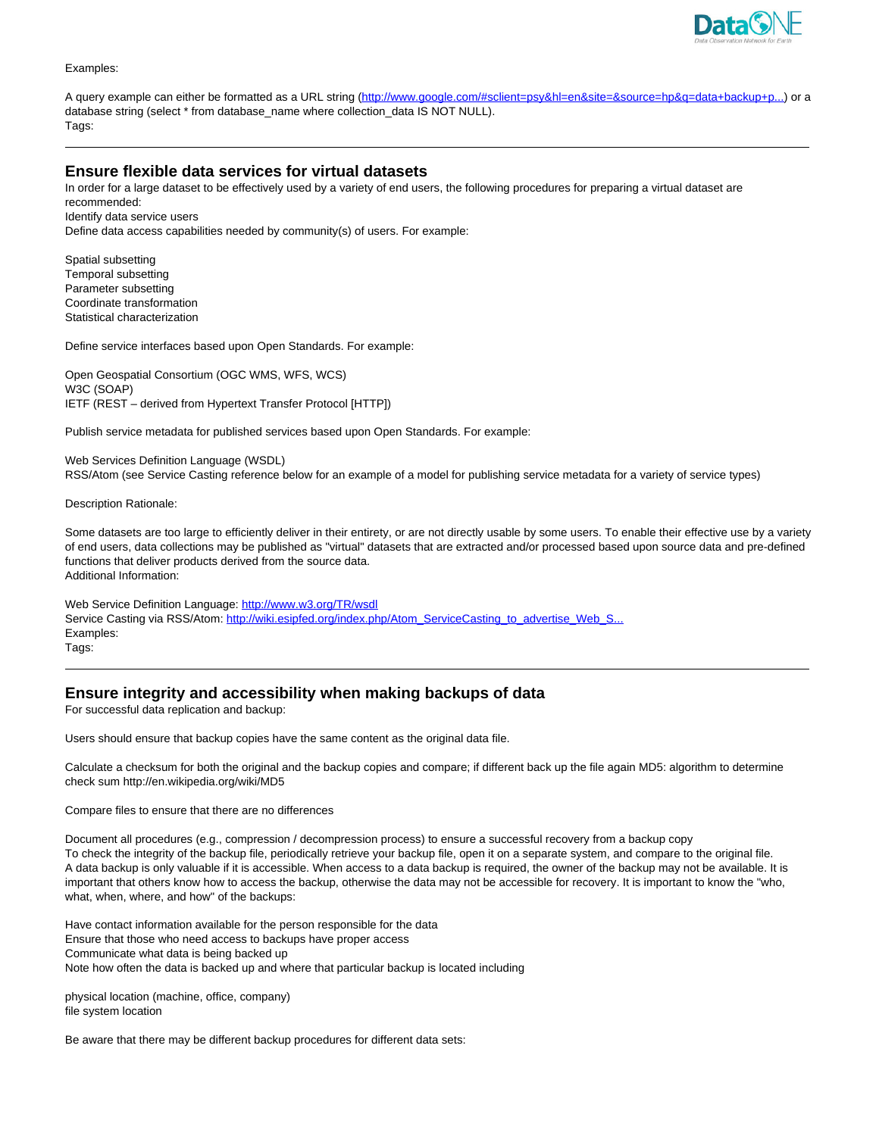

#### Examples:

A query example can either be formatted as a URL string (http://www.google.com/#sclient=psy&hl=en&site=&source=hp&g=data+backup+p...) or a database string (select \* from database\_name where collection\_data IS NOT NULL). Tags:

# **Ensure flexible data services for virtual datasets**

In order for a large dataset to be effectively used by a variety of end users, the following procedures for preparing a virtual dataset are recommended: Identify data service users

Define data access capabilities needed by community(s) of users. For example:

Spatial subsetting Temporal subsetting Parameter subsetting Coordinate transformation Statistical characterization

Define service interfaces based upon Open Standards. For example:

Open Geospatial Consortium (OGC WMS, WFS, WCS) W3C (SOAP) IETF (REST – derived from Hypertext Transfer Protocol [HTTP])

Publish service metadata for published services based upon Open Standards. For example:

Web Services Definition Language (WSDL) RSS/Atom (see Service Casting reference below for an example of a model for publishing service metadata for a variety of service types)

Description Rationale:

Some datasets are too large to efficiently deliver in their entirety, or are not directly usable by some users. To enable their effective use by a variety of end users, data collections may be published as "virtual" datasets that are extracted and/or processed based upon source data and pre-defined functions that deliver products derived from the source data. Additional Information:

Web Service Definition Language: http://www.w3.org/TR/wsdl Service Casting via RSS/Atom: http://wiki.esipfed.org/index.php/Atom\_ServiceCasting\_to\_advertise\_Web\_S. Examples: Tags:

### **Ensure integrity and accessibility when making backups of data**

For successful data replication and backup:

Users should ensure that backup copies have the same content as the original data file.

Calculate a checksum for both the original and the backup copies and compare; if different back up the file again MD5: algorithm to determine check sum http://en.wikipedia.org/wiki/MD5

Compare files to ensure that there are no differences

Document all procedures (e.g., compression / decompression process) to ensure a successful recovery from a backup copy To check the integrity of the backup file, periodically retrieve your backup file, open it on a separate system, and compare to the original file. A data backup is only valuable if it is accessible. When access to a data backup is required, the owner of the backup may not be available. It is important that others know how to access the backup, otherwise the data may not be accessible for recovery. It is important to know the "who, what, when, where, and how" of the backups:

Have contact information available for the person responsible for the data Ensure that those who need access to backups have proper access Communicate what data is being backed up Note how often the data is backed up and where that particular backup is located including

physical location (machine, office, company) file system location

Be aware that there may be different backup procedures for different data sets: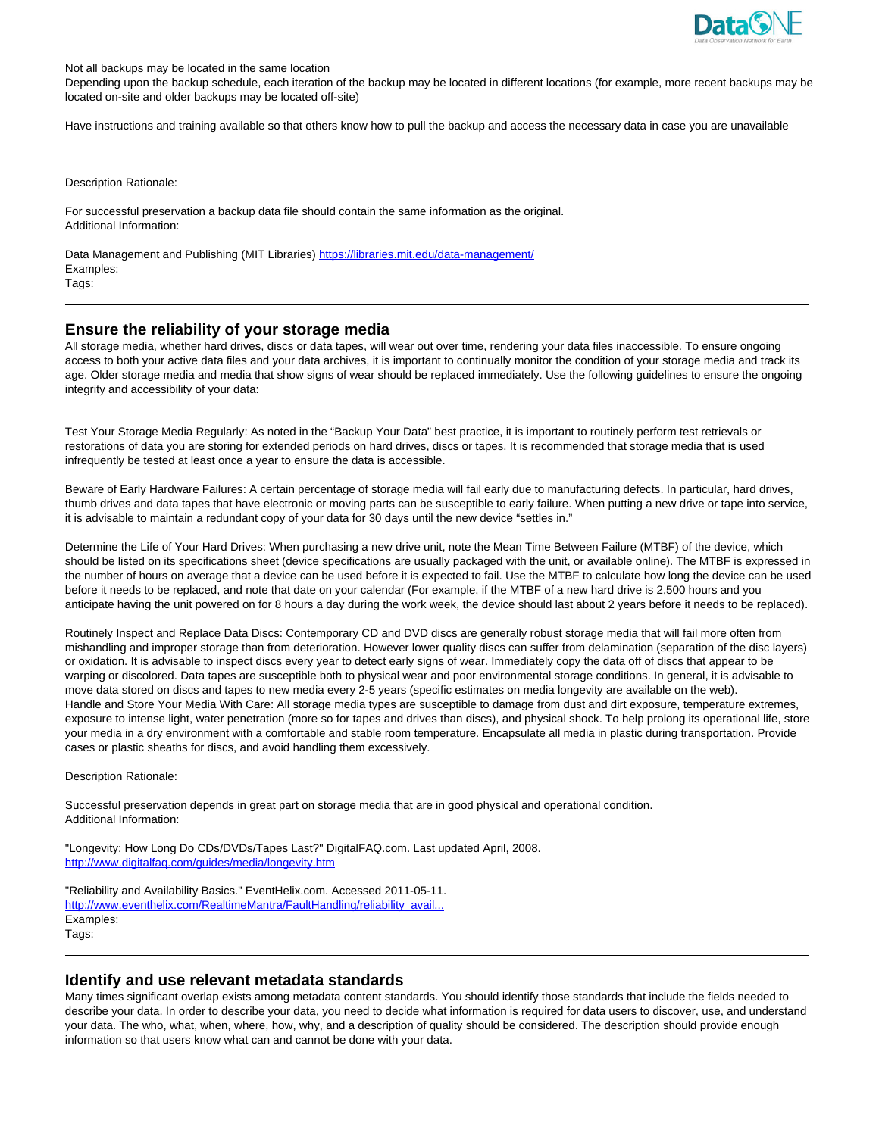

Not all backups may be located in the same location

Depending upon the backup schedule, each iteration of the backup may be located in different locations (for example, more recent backups may be located on-site and older backups may be located off-site)

Have instructions and training available so that others know how to pull the backup and access the necessary data in case you are unavailable

Description Rationale:

For successful preservation a backup data file should contain the same information as the original. Additional Information:

Data Management and Publishing (MIT Libraries) https://libraries.mit.edu/data-management/ Examples: Tags:

### **Ensure the reliability of your storage media**

All storage media, whether hard drives, discs or data tapes, will wear out over time, rendering your data files inaccessible. To ensure ongoing access to both your active data files and your data archives, it is important to continually monitor the condition of your storage media and track its age. Older storage media and media that show signs of wear should be replaced immediately. Use the following guidelines to ensure the ongoing integrity and accessibility of your data:

Test Your Storage Media Regularly: As noted in the "Backup Your Data" best practice, it is important to routinely perform test retrievals or restorations of data you are storing for extended periods on hard drives, discs or tapes. It is recommended that storage media that is used infrequently be tested at least once a year to ensure the data is accessible.

Beware of Early Hardware Failures: A certain percentage of storage media will fail early due to manufacturing defects. In particular, hard drives, thumb drives and data tapes that have electronic or moving parts can be susceptible to early failure. When putting a new drive or tape into service, it is advisable to maintain a redundant copy of your data for 30 days until the new device "settles in."

Determine the Life of Your Hard Drives: When purchasing a new drive unit, note the Mean Time Between Failure (MTBF) of the device, which should be listed on its specifications sheet (device specifications are usually packaged with the unit, or available online). The MTBF is expressed in the number of hours on average that a device can be used before it is expected to fail. Use the MTBF to calculate how long the device can be used before it needs to be replaced, and note that date on your calendar (For example, if the MTBF of a new hard drive is 2,500 hours and you anticipate having the unit powered on for 8 hours a day during the work week, the device should last about 2 years before it needs to be replaced).

Routinely Inspect and Replace Data Discs: Contemporary CD and DVD discs are generally robust storage media that will fail more often from mishandling and improper storage than from deterioration. However lower quality discs can suffer from delamination (separation of the disc layers) or oxidation. It is advisable to inspect discs every year to detect early signs of wear. Immediately copy the data off of discs that appear to be warping or discolored. Data tapes are susceptible both to physical wear and poor environmental storage conditions. In general, it is advisable to move data stored on discs and tapes to new media every 2-5 years (specific estimates on media longevity are available on the web). Handle and Store Your Media With Care: All storage media types are susceptible to damage from dust and dirt exposure, temperature extremes, exposure to intense light, water penetration (more so for tapes and drives than discs), and physical shock. To help prolong its operational life, store your media in a dry environment with a comfortable and stable room temperature. Encapsulate all media in plastic during transportation. Provide cases or plastic sheaths for discs, and avoid handling them excessively.

Description Rationale:

Successful preservation depends in great part on storage media that are in good physical and operational condition. Additional Information:

"Longevity: How Long Do CDs/DVDs/Tapes Last?" DigitalFAQ.com. Last updated April, 2008. http://www.digitalfaq.com/guides/media/longevity.htm

"Reliability and Availability Basics." EventHelix.com. Accessed 2011-05-11. http://www.eventhelix.com/RealtimeMantra/FaultHandling/reliability\_avail. Examples: Tags:

### **Identify and use relevant metadata standards**

Many times significant overlap exists among metadata content standards. You should identify those standards that include the fields needed to describe your data. In order to describe your data, you need to decide what information is required for data users to discover, use, and understand your data. The who, what, when, where, how, why, and a description of quality should be considered. The description should provide enough information so that users know what can and cannot be done with your data.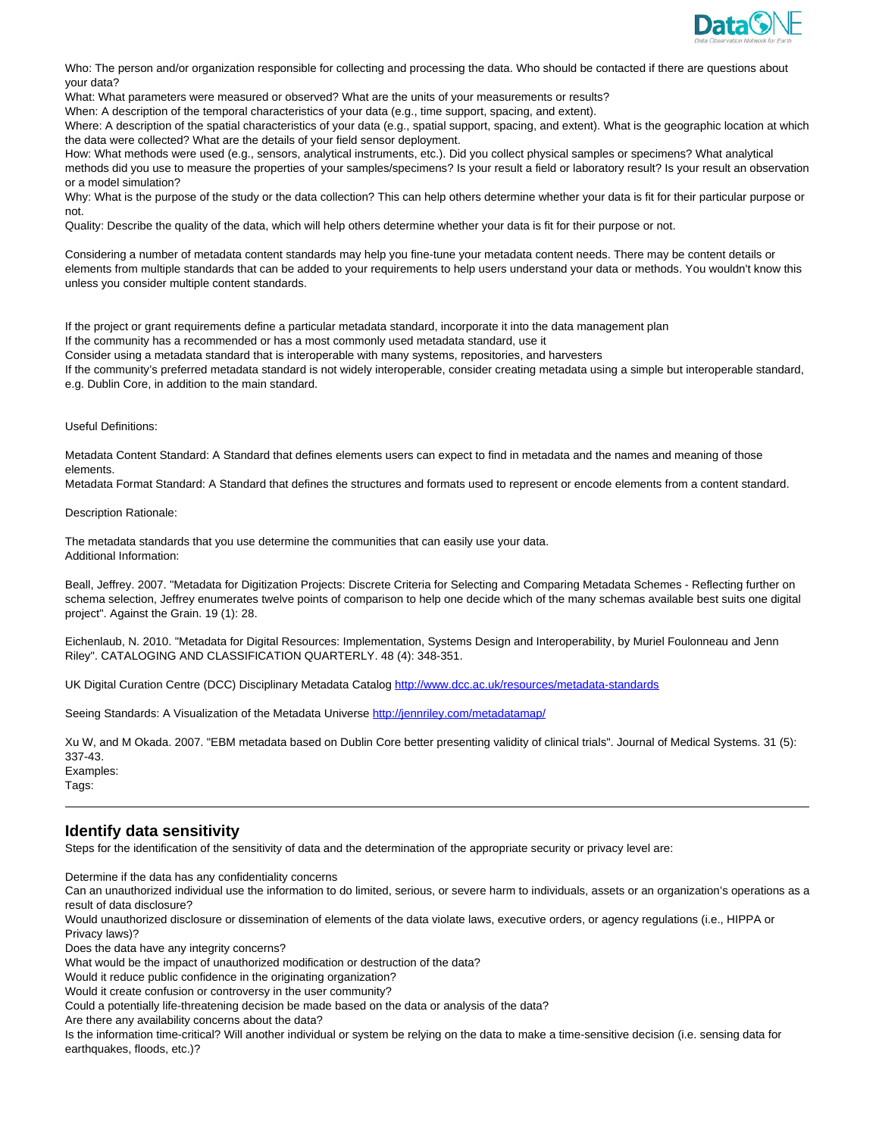

Who: The person and/or organization responsible for collecting and processing the data. Who should be contacted if there are questions about your data?

What: What parameters were measured or observed? What are the units of your measurements or results?

When: A description of the temporal characteristics of your data (e.g., time support, spacing, and extent).

Where: A description of the spatial characteristics of your data (e.g., spatial support, spacing, and extent). What is the geographic location at which the data were collected? What are the details of your field sensor deployment.

How: What methods were used (e.g., sensors, analytical instruments, etc.). Did you collect physical samples or specimens? What analytical methods did you use to measure the properties of your samples/specimens? Is your result a field or laboratory result? Is your result an observation or a model simulation?

Why: What is the purpose of the study or the data collection? This can help others determine whether your data is fit for their particular purpose or not.

Quality: Describe the quality of the data, which will help others determine whether your data is fit for their purpose or not.

Considering a number of metadata content standards may help you fine-tune your metadata content needs. There may be content details or elements from multiple standards that can be added to your requirements to help users understand your data or methods. You wouldn't know this unless you consider multiple content standards.

If the project or grant requirements define a particular metadata standard, incorporate it into the data management plan

If the community has a recommended or has a most commonly used metadata standard, use it

Consider using a metadata standard that is interoperable with many systems, repositories, and harvesters If the community's preferred metadata standard is not widely interoperable, consider creating metadata using a simple but interoperable standard, e.g. Dublin Core, in addition to the main standard.

Useful Definitions:

Metadata Content Standard: A Standard that defines elements users can expect to find in metadata and the names and meaning of those elements.

Metadata Format Standard: A Standard that defines the structures and formats used to represent or encode elements from a content standard.

Description Rationale:

The metadata standards that you use determine the communities that can easily use your data. Additional Information:

Beall, Jeffrey. 2007. "Metadata for Digitization Projects: Discrete Criteria for Selecting and Comparing Metadata Schemes - Reflecting further on schema selection, Jeffrey enumerates twelve points of comparison to help one decide which of the many schemas available best suits one digital project". Against the Grain. 19 (1): 28.

Eichenlaub, N. 2010. "Metadata for Digital Resources: Implementation, Systems Design and Interoperability, by Muriel Foulonneau and Jenn Riley". CATALOGING AND CLASSIFICATION QUARTERLY. 48 (4): 348-351.

UK Digital Curation Centre (DCC) Disciplinary Metadata Catalog http://www.dcc.ac.uk/resources/metadata-standards

Seeing Standards: A Visualization of the Metadata Universe http://jennriley.com/metadatamap/

Xu W, and M Okada. 2007. "EBM metadata based on Dublin Core better presenting validity of clinical trials". Journal of Medical Systems. 31 (5): 337-43. Examples:

Tags:

# **Identify data sensitivity**

Steps for the identification of the sensitivity of data and the determination of the appropriate security or privacy level are:

Determine if the data has any confidentiality concerns

Can an unauthorized individual use the information to do limited, serious, or severe harm to individuals, assets or an organization's operations as a result of data disclosure?

Would unauthorized disclosure or dissemination of elements of the data violate laws, executive orders, or agency regulations (i.e., HIPPA or Privacy laws)?

Does the data have any integrity concerns?

What would be the impact of unauthorized modification or destruction of the data?

Would it reduce public confidence in the originating organization?

Would it create confusion or controversy in the user community?

Could a potentially life-threatening decision be made based on the data or analysis of the data?

Are there any availability concerns about the data?

Is the information time-critical? Will another individual or system be relying on the data to make a time-sensitive decision (i.e. sensing data for earthquakes, floods, etc.)?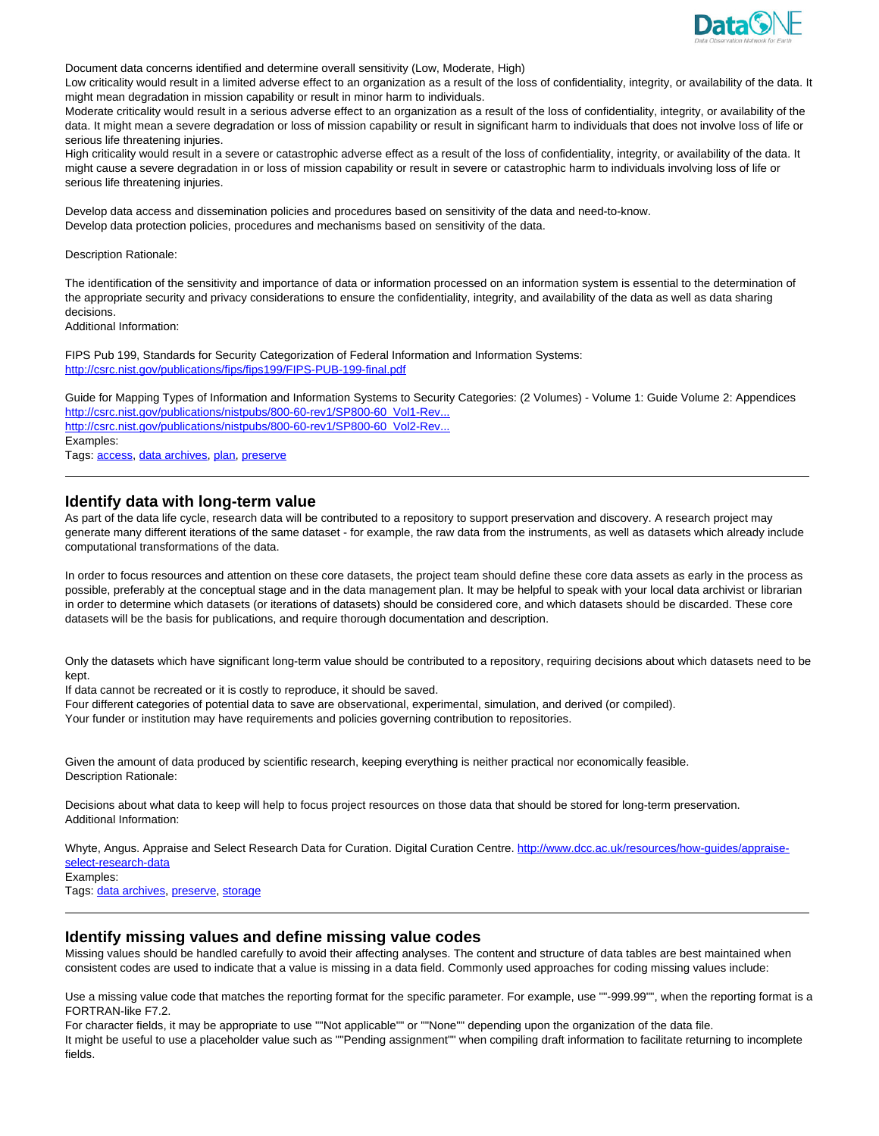

Document data concerns identified and determine overall sensitivity (Low, Moderate, High)

Low criticality would result in a limited adverse effect to an organization as a result of the loss of confidentiality, integrity, or availability of the data. It might mean degradation in mission capability or result in minor harm to individuals.

Moderate criticality would result in a serious adverse effect to an organization as a result of the loss of confidentiality, integrity, or availability of the data. It might mean a severe degradation or loss of mission capability or result in significant harm to individuals that does not involve loss of life or serious life threatening injuries.

High criticality would result in a severe or catastrophic adverse effect as a result of the loss of confidentiality, integrity, or availability of the data. It might cause a severe degradation in or loss of mission capability or result in severe or catastrophic harm to individuals involving loss of life or serious life threatening injuries.

Develop data access and dissemination policies and procedures based on sensitivity of the data and need-to-know. Develop data protection policies, procedures and mechanisms based on sensitivity of the data.

Description Rationale:

The identification of the sensitivity and importance of data or information processed on an information system is essential to the determination of the appropriate security and privacy considerations to ensure the confidentiality, integrity, and availability of the data as well as data sharing decisions.

Additional Information:

FIPS Pub 199, Standards for Security Categorization of Federal Information and Information Systems: http://csrc.nist.gov/publications/fips/fips199/FIPS-PUB-199-final.pdf

Guide for Mapping Types of Information and Information Systems to Security Categories: (2 Volumes) - Volume 1: Guide Volume 2: Appendices http://csrc.nist.gov/publications/nistpubs/800-60-rev1/SP800-60\_Vol1-Rev... http://csrc.nist.gov/publications/nistpubs/800-60-rev1/SP800-60\_Vol2-Rev... Examples:

Tags: access, data archives, plan, preserve

### **Identify data with long-term value**

As part of the data life cycle, research data will be contributed to a repository to support preservation and discovery. A research project may generate many different iterations of the same dataset - for example, the raw data from the instruments, as well as datasets which already include computational transformations of the data.

In order to focus resources and attention on these core datasets, the project team should define these core data assets as early in the process as possible, preferably at the conceptual stage and in the data management plan. It may be helpful to speak with your local data archivist or librarian in order to determine which datasets (or iterations of datasets) should be considered core, and which datasets should be discarded. These core datasets will be the basis for publications, and require thorough documentation and description.

Only the datasets which have significant long-term value should be contributed to a repository, requiring decisions about which datasets need to be kept.

If data cannot be recreated or it is costly to reproduce, it should be saved.

Four different categories of potential data to save are observational, experimental, simulation, and derived (or compiled).

Your funder or institution may have requirements and policies governing contribution to repositories.

Given the amount of data produced by scientific research, keeping everything is neither practical nor economically feasible. Description Rationale:

Decisions about what data to keep will help to focus project resources on those data that should be stored for long-term preservation. Additional Information:

Whyte, Angus. Appraise and Select Research Data for Curation. Digital Curation Centre. http://www.dcc.ac.uk/resources/how-quides/appraiseselect-research-data

Examples: Tags: data archives, preserve, storage

### **Identify missing values and define missing value codes**

Missing values should be handled carefully to avoid their affecting analyses. The content and structure of data tables are best maintained when consistent codes are used to indicate that a value is missing in a data field. Commonly used approaches for coding missing values include:

Use a missing value code that matches the reporting format for the specific parameter. For example, use ""-999.99"", when the reporting format is a FORTRAN-like F7.2.

For character fields, it may be appropriate to use ""Not applicable"" or ""None"" depending upon the organization of the data file. It might be useful to use a placeholder value such as ""Pending assignment"" when compiling draft information to facilitate returning to incomplete fields.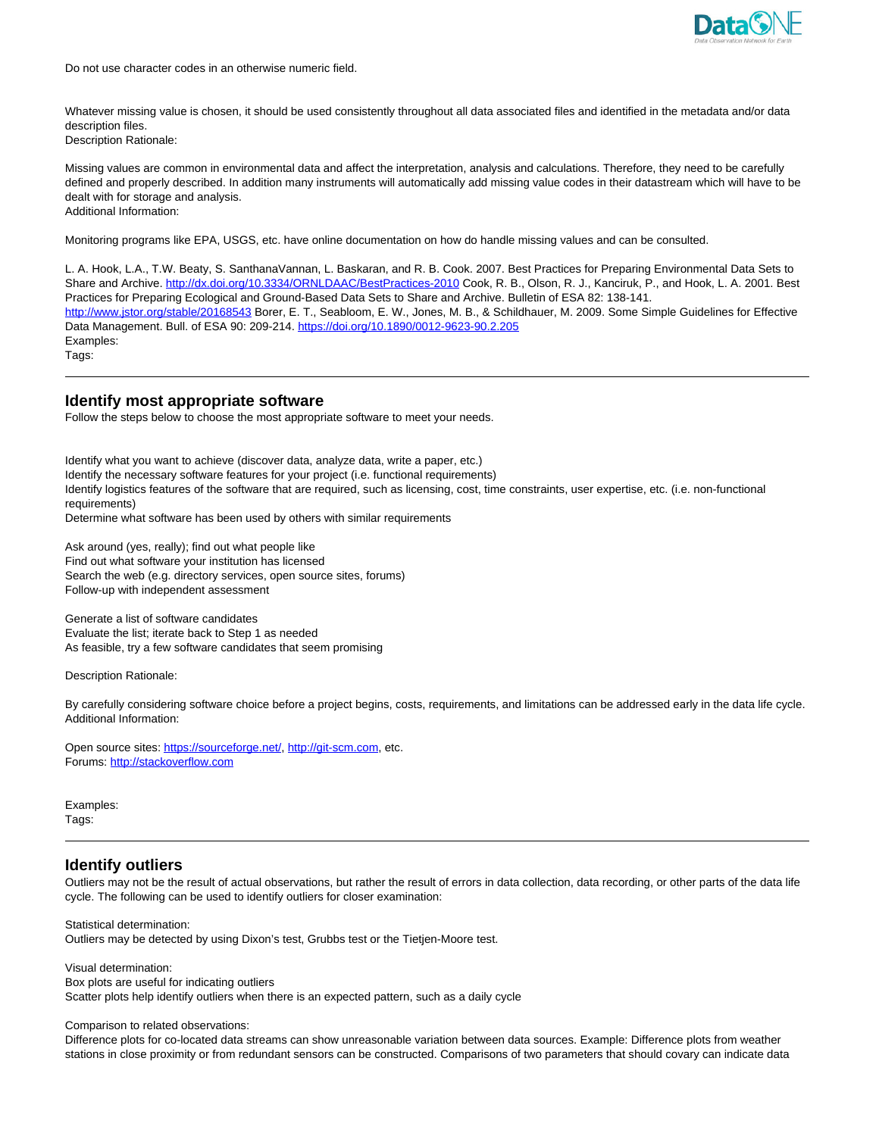

Do not use character codes in an otherwise numeric field.

Whatever missing value is chosen, it should be used consistently throughout all data associated files and identified in the metadata and/or data description files.

Description Rationale:

Missing values are common in environmental data and affect the interpretation, analysis and calculations. Therefore, they need to be carefully defined and properly described. In addition many instruments will automatically add missing value codes in their datastream which will have to be dealt with for storage and analysis. Additional Information:

Monitoring programs like EPA, USGS, etc. have online documentation on how do handle missing values and can be consulted.

L. A. Hook, L.A., T.W. Beaty, S. SanthanaVannan, L. Baskaran, and R. B. Cook. 2007. Best Practices for Preparing Environmental Data Sets to Share and Archive. http://dx.doi.org/10.3334/ORNLDAAC/BestPractices-2010 Cook, R. B., Olson, R. J., Kanciruk, P., and Hook, L. A. 2001. Best Practices for Preparing Ecological and Ground-Based Data Sets to Share and Archive. Bulletin of ESA 82: 138-141. http://www.jstor.org/stable/20168543 Borer, E. T., Seabloom, E. W., Jones, M. B., & Schildhauer, M. 2009. Some Simple Guidelines for Effective Data Management. Bull. of ESA 90: 209-214. https://doi.org/10.1890/0012-9623-90.2.205 Examples: Tags:

**Identify most appropriate software**

Follow the steps below to choose the most appropriate software to meet your needs.

Identify what you want to achieve (discover data, analyze data, write a paper, etc.) Identify the necessary software features for your project (i.e. functional requirements) Identify logistics features of the software that are required, such as licensing, cost, time constraints, user expertise, etc. (i.e. non-functional requirements)

Determine what software has been used by others with similar requirements

Ask around (yes, really); find out what people like Find out what software your institution has licensed Search the web (e.g. directory services, open source sites, forums) Follow-up with independent assessment

Generate a list of software candidates Evaluate the list; iterate back to Step 1 as needed As feasible, try a few software candidates that seem promising

Description Rationale:

By carefully considering software choice before a project begins, costs, requirements, and limitations can be addressed early in the data life cycle. Additional Information:

Open source sites: https://sourceforge.net/, http://git-scm.com, etc. Forums: http://stackoverflow.com

Examples: Tags:

# **Identify outliers**

Outliers may not be the result of actual observations, but rather the result of errors in data collection, data recording, or other parts of the data life cycle. The following can be used to identify outliers for closer examination:

Statistical determination: Outliers may be detected by using Dixon's test, Grubbs test or the Tietjen-Moore test.

Visual determination: Box plots are useful for indicating outliers Scatter plots help identify outliers when there is an expected pattern, such as a daily cycle

Comparison to related observations:

Difference plots for co-located data streams can show unreasonable variation between data sources. Example: Difference plots from weather stations in close proximity or from redundant sensors can be constructed. Comparisons of two parameters that should covary can indicate data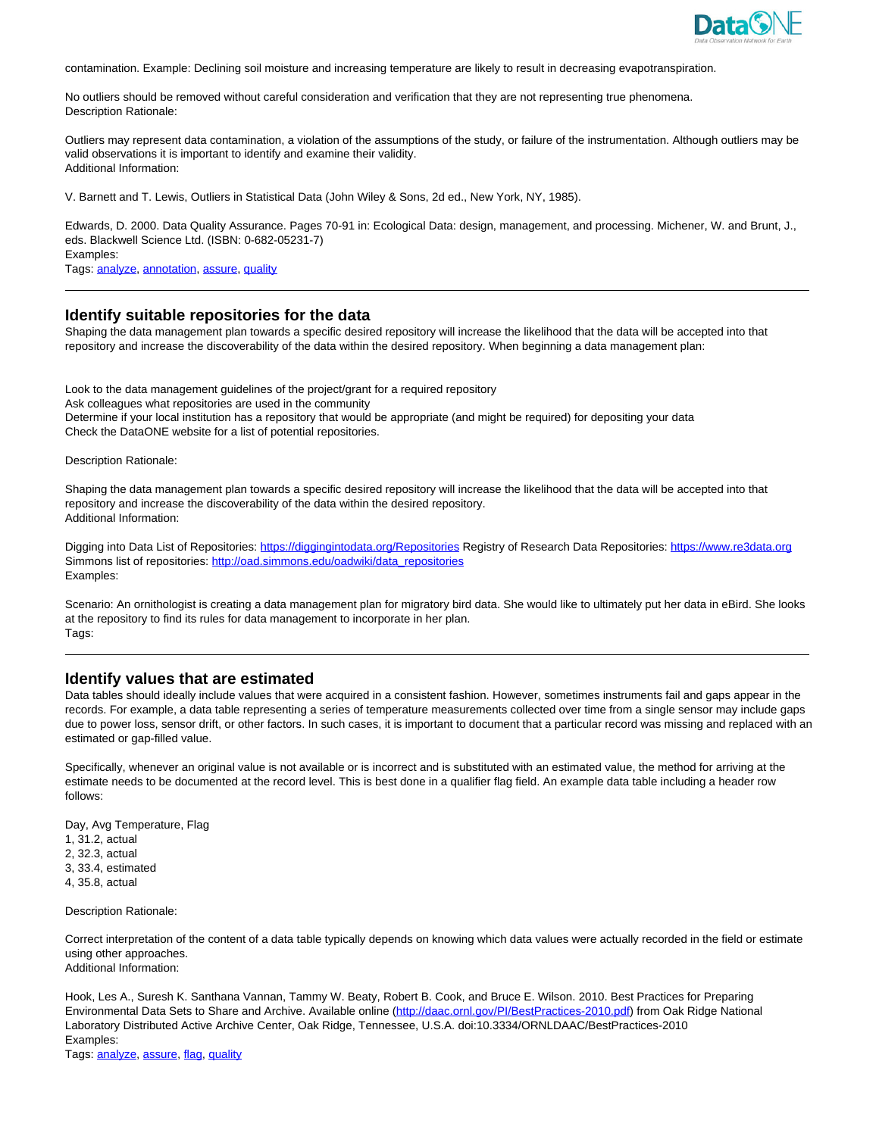

contamination. Example: Declining soil moisture and increasing temperature are likely to result in decreasing evapotranspiration.

No outliers should be removed without careful consideration and verification that they are not representing true phenomena. Description Rationale:

Outliers may represent data contamination, a violation of the assumptions of the study, or failure of the instrumentation. Although outliers may be valid observations it is important to identify and examine their validity. Additional Information:

V. Barnett and T. Lewis, Outliers in Statistical Data (John Wiley & Sons, 2d ed., New York, NY, 1985).

Edwards, D. 2000. Data Quality Assurance. Pages 70-91 in: Ecological Data: design, management, and processing. Michener, W. and Brunt, J., eds. Blackwell Science Ltd. (ISBN: 0-682-05231-7) Examples:

Tags: analyze, annotation, assure, quality

### **Identify suitable repositories for the data**

Shaping the data management plan towards a specific desired repository will increase the likelihood that the data will be accepted into that repository and increase the discoverability of the data within the desired repository. When beginning a data management plan:

Look to the data management guidelines of the project/grant for a required repository Ask colleagues what repositories are used in the community Determine if your local institution has a repository that would be appropriate (and might be required) for depositing your data Check the DataONE website for a list of potential repositories.

Description Rationale:

Shaping the data management plan towards a specific desired repository will increase the likelihood that the data will be accepted into that repository and increase the discoverability of the data within the desired repository. Additional Information:

Digging into Data List of Repositories: https://diggingintodata.org/Repositories Registry of Research Data Repositories: https://www.re3data.org Simmons list of repositories: http://oad.simmons.edu/oadwiki/data\_repositories Examples:

Scenario: An ornithologist is creating a data management plan for migratory bird data. She would like to ultimately put her data in eBird. She looks at the repository to find its rules for data management to incorporate in her plan. Tags:

### **Identify values that are estimated**

Data tables should ideally include values that were acquired in a consistent fashion. However, sometimes instruments fail and gaps appear in the records. For example, a data table representing a series of temperature measurements collected over time from a single sensor may include gaps due to power loss, sensor drift, or other factors. In such cases, it is important to document that a particular record was missing and replaced with an estimated or gap-filled value.

Specifically, whenever an original value is not available or is incorrect and is substituted with an estimated value, the method for arriving at the estimate needs to be documented at the record level. This is best done in a qualifier flag field. An example data table including a header row follows:

Day, Avg Temperature, Flag 1, 31.2, actual 2, 32.3, actual 3, 33.4, estimated 4, 35.8, actual

Description Rationale:

Correct interpretation of the content of a data table typically depends on knowing which data values were actually recorded in the field or estimate using other approaches. Additional Information:

Hook, Les A., Suresh K. Santhana Vannan, Tammy W. Beaty, Robert B. Cook, and Bruce E. Wilson. 2010. Best Practices for Preparing Environmental Data Sets to Share and Archive. Available online (http://daac.ornl.gov/PI/BestPractices-2010.pdf) from Oak Ridge National Laboratory Distributed Active Archive Center, Oak Ridge, Tennessee, U.S.A. doi:10.3334/ORNLDAAC/BestPractices-2010 Examples:

Tags: analyze, assure, flag, quality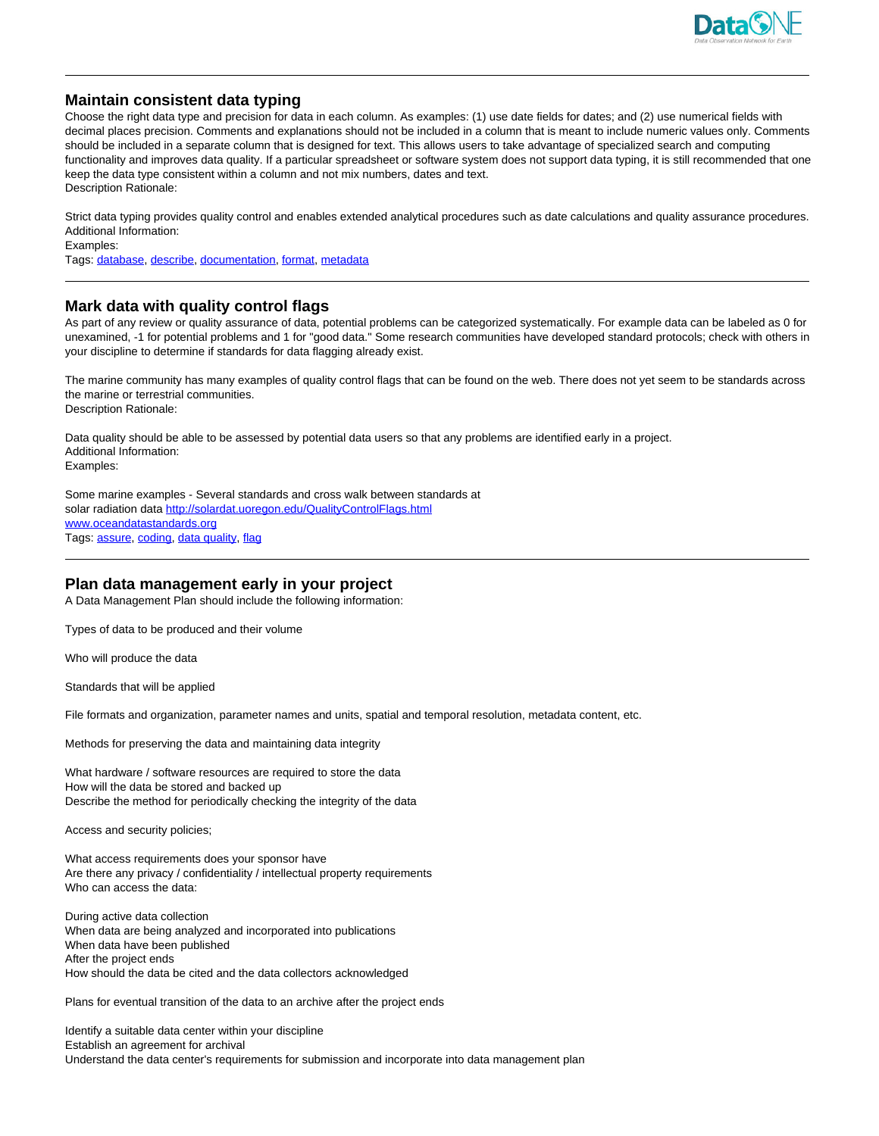

# **Maintain consistent data typing**

Choose the right data type and precision for data in each column. As examples: (1) use date fields for dates; and (2) use numerical fields with decimal places precision. Comments and explanations should not be included in a column that is meant to include numeric values only. Comments should be included in a separate column that is designed for text. This allows users to take advantage of specialized search and computing functionality and improves data quality. If a particular spreadsheet or software system does not support data typing, it is still recommended that one keep the data type consistent within a column and not mix numbers, dates and text. Description Rationale:

Strict data typing provides quality control and enables extended analytical procedures such as date calculations and quality assurance procedures. Additional Information:

Examples:

Tags: database, describe, documentation, format, metadata

# **Mark data with quality control flags**

As part of any review or quality assurance of data, potential problems can be categorized systematically. For example data can be labeled as 0 for unexamined, -1 for potential problems and 1 for "good data." Some research communities have developed standard protocols; check with others in your discipline to determine if standards for data flagging already exist.

The marine community has many examples of quality control flags that can be found on the web. There does not yet seem to be standards across the marine or terrestrial communities. Description Rationale:

Data quality should be able to be assessed by potential data users so that any problems are identified early in a project. Additional Information: Examples:

Some marine examples - Several standards and cross walk between standards at solar radiation data http://solardat.uoregon.edu/QualityControlFlags.html www.oceandatastandards.org Tags: assure, coding, data quality, flag

# **Plan data management early in your project**

A Data Management Plan should include the following information:

Types of data to be produced and their volume

Who will produce the data

Standards that will be applied

File formats and organization, parameter names and units, spatial and temporal resolution, metadata content, etc.

Methods for preserving the data and maintaining data integrity

What hardware / software resources are required to store the data How will the data be stored and backed up Describe the method for periodically checking the integrity of the data

Access and security policies;

What access requirements does your sponsor have Are there any privacy / confidentiality / intellectual property requirements Who can access the data:

During active data collection When data are being analyzed and incorporated into publications When data have been published After the project ends How should the data be cited and the data collectors acknowledged

Plans for eventual transition of the data to an archive after the project ends

Identify a suitable data center within your discipline Establish an agreement for archival Understand the data center's requirements for submission and incorporate into data management plan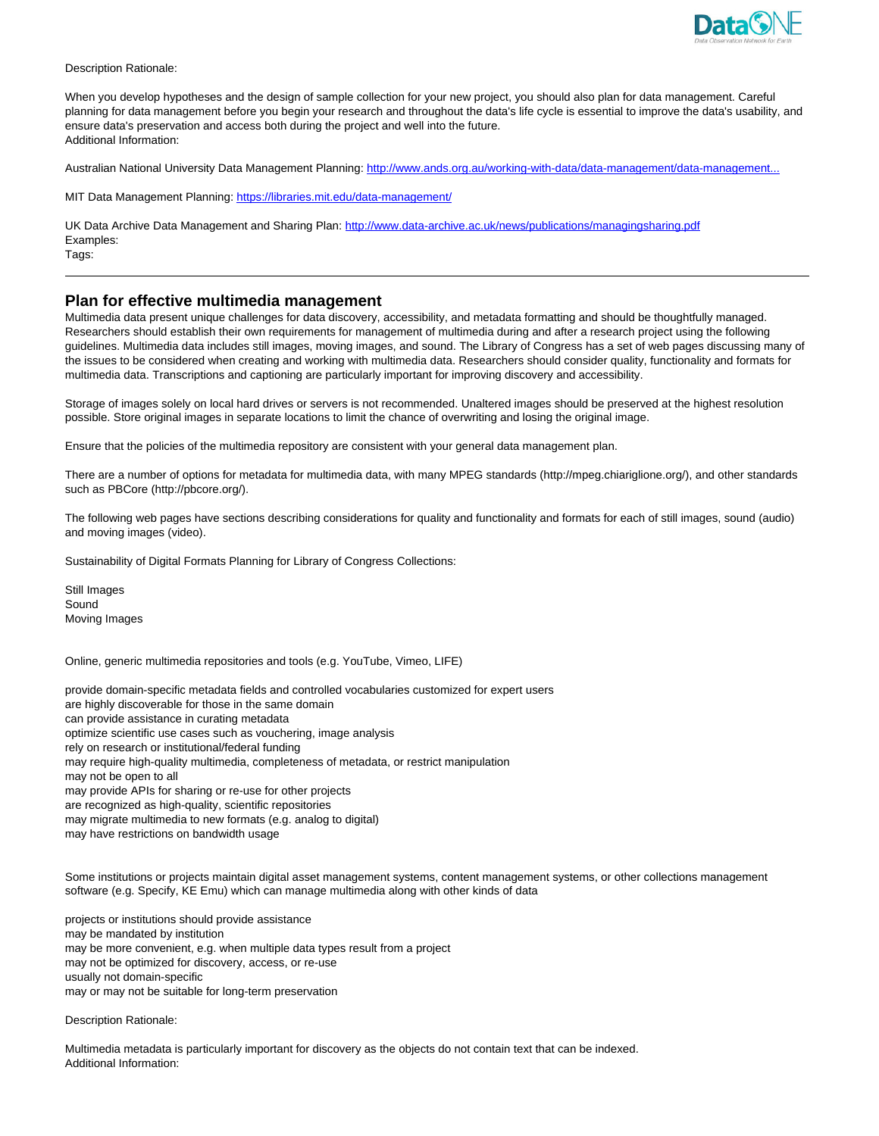

Description Rationale:

When you develop hypotheses and the design of sample collection for your new project, you should also plan for data management. Careful planning for data management before you begin your research and throughout the data's life cycle is essential to improve the data's usability, and ensure data's preservation and access both during the project and well into the future. Additional Information:

Australian National University Data Management Planning: http://www.ands.org.au/working-with-data/data-management/data-management.

MIT Data Management Planning: https://libraries.mit.edu/data-management/

UK Data Archive Data Management and Sharing Plan: http://www.data-archive.ac.uk/news/publications/managingsharing.pdf Examples: Tags:

# **Plan for effective multimedia management**

Multimedia data present unique challenges for data discovery, accessibility, and metadata formatting and should be thoughtfully managed. Researchers should establish their own requirements for management of multimedia during and after a research project using the following guidelines. Multimedia data includes still images, moving images, and sound. The Library of Congress has a set of web pages discussing many of the issues to be considered when creating and working with multimedia data. Researchers should consider quality, functionality and formats for multimedia data. Transcriptions and captioning are particularly important for improving discovery and accessibility.

Storage of images solely on local hard drives or servers is not recommended. Unaltered images should be preserved at the highest resolution possible. Store original images in separate locations to limit the chance of overwriting and losing the original image.

Ensure that the policies of the multimedia repository are consistent with your general data management plan.

There are a number of options for metadata for multimedia data, with many MPEG standards (http://mpeg.chiariglione.org/), and other standards such as PBCore (http://pbcore.org/).

The following web pages have sections describing considerations for quality and functionality and formats for each of still images, sound (audio) and moving images (video).

Sustainability of Digital Formats Planning for Library of Congress Collections:

Still Images Sound Moving Images

Online, generic multimedia repositories and tools (e.g. YouTube, Vimeo, LIFE)

provide domain-specific metadata fields and controlled vocabularies customized for expert users are highly discoverable for those in the same domain can provide assistance in curating metadata optimize scientific use cases such as vouchering, image analysis rely on research or institutional/federal funding may require high-quality multimedia, completeness of metadata, or restrict manipulation may not be open to all may provide APIs for sharing or re-use for other projects are recognized as high-quality, scientific repositories may migrate multimedia to new formats (e.g. analog to digital) may have restrictions on bandwidth usage

Some institutions or projects maintain digital asset management systems, content management systems, or other collections management software (e.g. Specify, KE Emu) which can manage multimedia along with other kinds of data

projects or institutions should provide assistance may be mandated by institution may be more convenient, e.g. when multiple data types result from a project may not be optimized for discovery, access, or re-use usually not domain-specific may or may not be suitable for long-term preservation

Description Rationale:

Multimedia metadata is particularly important for discovery as the objects do not contain text that can be indexed. Additional Information: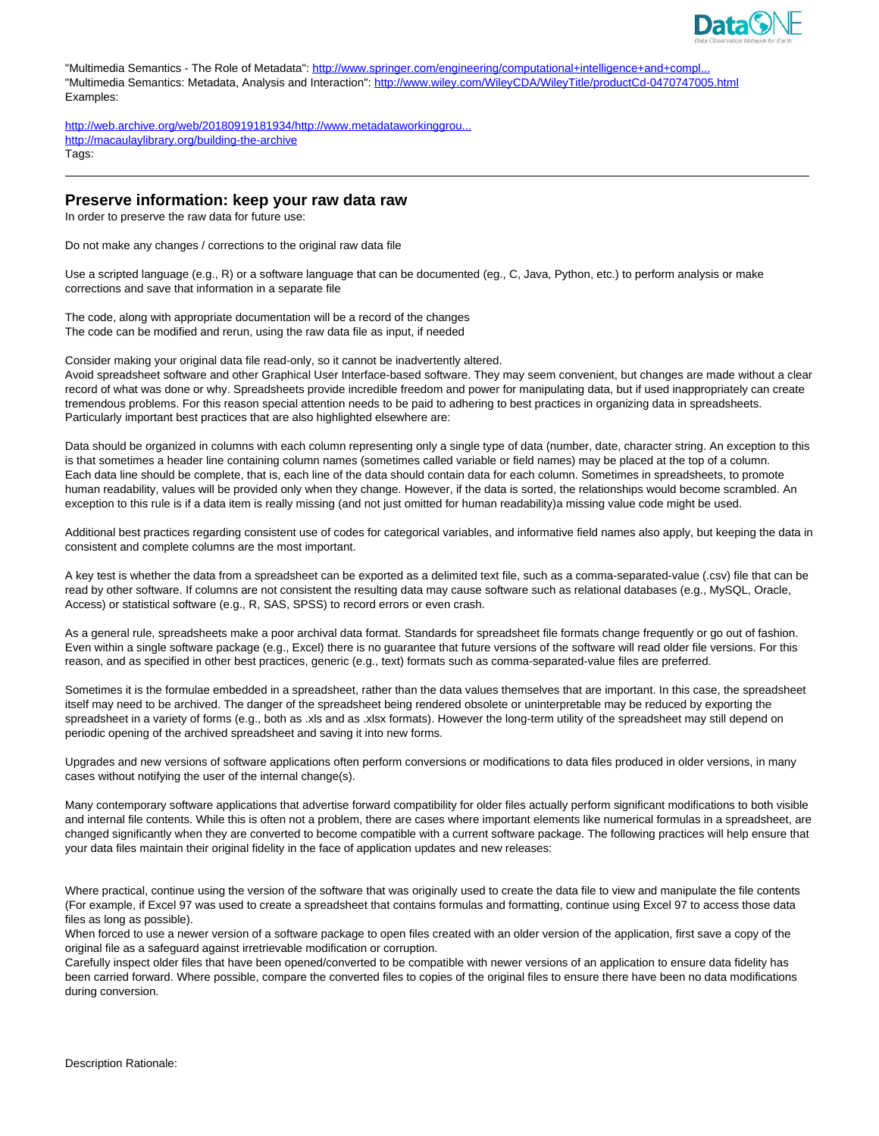

"Multimedia Semantics - The Role of Metadata": http://www.springer.com/engineering/computational+intelligence+and+compl... "Multimedia Semantics: Metadata, Analysis and Interaction": http://www.wiley.com/WileyCDA/WileyTitle/productCd-0470747005.html Examples:

http://web.archive.org/web/20180919181934/http://www.metadataworkinggrou... http://macaulaylibrary.org/building-the-archive Tags:

# **Preserve information: keep your raw data raw**

In order to preserve the raw data for future use:

Do not make any changes / corrections to the original raw data file

Use a scripted language (e.g., R) or a software language that can be documented (eg., C, Java, Python, etc.) to perform analysis or make corrections and save that information in a separate file

The code, along with appropriate documentation will be a record of the changes The code can be modified and rerun, using the raw data file as input, if needed

Consider making your original data file read-only, so it cannot be inadvertently altered.

Avoid spreadsheet software and other Graphical User Interface-based software. They may seem convenient, but changes are made without a clear record of what was done or why. Spreadsheets provide incredible freedom and power for manipulating data, but if used inappropriately can create tremendous problems. For this reason special attention needs to be paid to adhering to best practices in organizing data in spreadsheets. Particularly important best practices that are also highlighted elsewhere are:

Data should be organized in columns with each column representing only a single type of data (number, date, character string. An exception to this is that sometimes a header line containing column names (sometimes called variable or field names) may be placed at the top of a column. Each data line should be complete, that is, each line of the data should contain data for each column. Sometimes in spreadsheets, to promote human readability, values will be provided only when they change. However, if the data is sorted, the relationships would become scrambled. An exception to this rule is if a data item is really missing (and not just omitted for human readability)a missing value code might be used.

Additional best practices regarding consistent use of codes for categorical variables, and informative field names also apply, but keeping the data in consistent and complete columns are the most important.

A key test is whether the data from a spreadsheet can be exported as a delimited text file, such as a comma-separated-value (.csv) file that can be read by other software. If columns are not consistent the resulting data may cause software such as relational databases (e.g., MySQL, Oracle, Access) or statistical software (e.g., R, SAS, SPSS) to record errors or even crash.

As a general rule, spreadsheets make a poor archival data format. Standards for spreadsheet file formats change frequently or go out of fashion. Even within a single software package (e.g., Excel) there is no guarantee that future versions of the software will read older file versions. For this reason, and as specified in other best practices, generic (e.g., text) formats such as comma-separated-value files are preferred.

Sometimes it is the formulae embedded in a spreadsheet, rather than the data values themselves that are important. In this case, the spreadsheet itself may need to be archived. The danger of the spreadsheet being rendered obsolete or uninterpretable may be reduced by exporting the spreadsheet in a variety of forms (e.g., both as .xls and as .xlsx formats). However the long-term utility of the spreadsheet may still depend on periodic opening of the archived spreadsheet and saving it into new forms.

Upgrades and new versions of software applications often perform conversions or modifications to data files produced in older versions, in many cases without notifying the user of the internal change(s).

Many contemporary software applications that advertise forward compatibility for older files actually perform significant modifications to both visible and internal file contents. While this is often not a problem, there are cases where important elements like numerical formulas in a spreadsheet, are changed significantly when they are converted to become compatible with a current software package. The following practices will help ensure that your data files maintain their original fidelity in the face of application updates and new releases:

Where practical, continue using the version of the software that was originally used to create the data file to view and manipulate the file contents (For example, if Excel 97 was used to create a spreadsheet that contains formulas and formatting, continue using Excel 97 to access those data files as long as possible).

When forced to use a newer version of a software package to open files created with an older version of the application, first save a copy of the original file as a safeguard against irretrievable modification or corruption.

Carefully inspect older files that have been opened/converted to be compatible with newer versions of an application to ensure data fidelity has been carried forward. Where possible, compare the converted files to copies of the original files to ensure there have been no data modifications during conversion.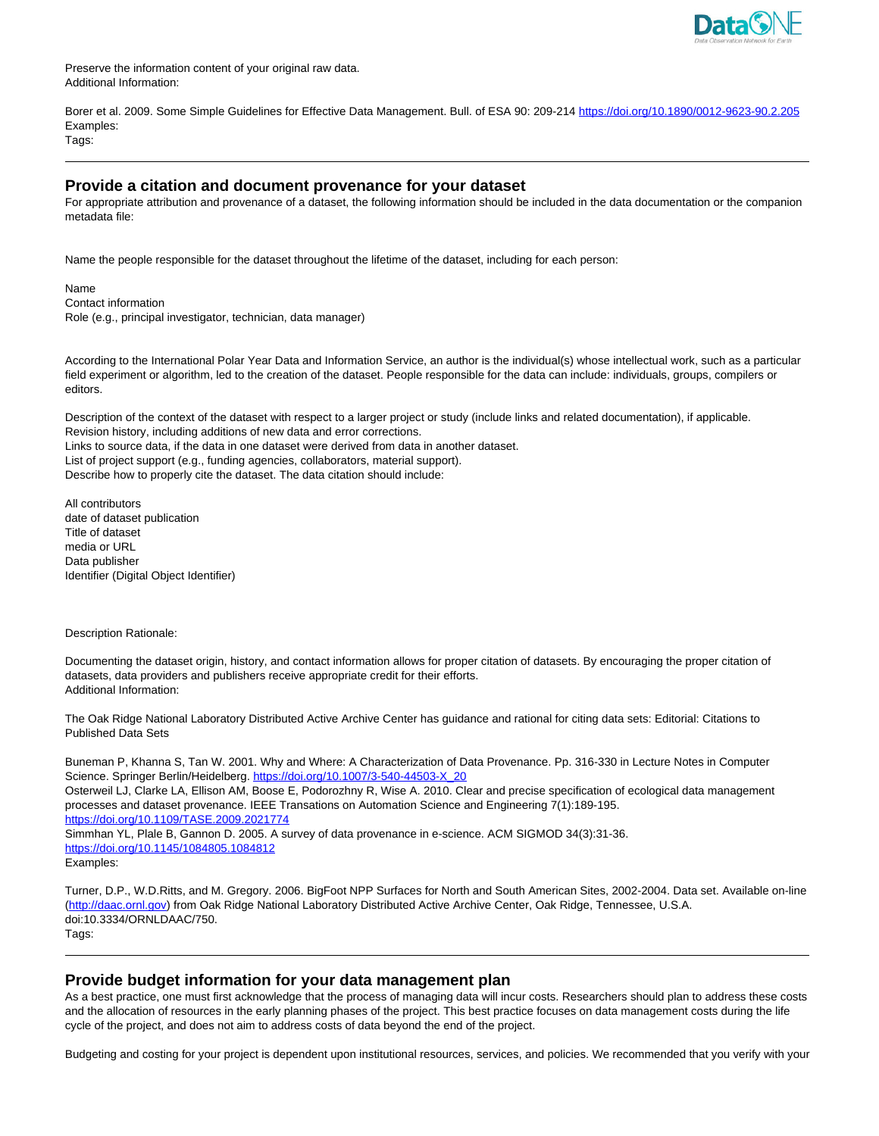

Preserve the information content of your original raw data. Additional Information:

Borer et al. 2009. Some Simple Guidelines for Effective Data Management. Bull. of ESA 90: 209-214 https://doi.org/10.1890/0012-9623-90.2.205 Examples:

Tags:

### **Provide a citation and document provenance for your dataset**

For appropriate attribution and provenance of a dataset, the following information should be included in the data documentation or the companion metadata file:

Name the people responsible for the dataset throughout the lifetime of the dataset, including for each person:

Name Contact information Role (e.g., principal investigator, technician, data manager)

According to the International Polar Year Data and Information Service, an author is the individual(s) whose intellectual work, such as a particular field experiment or algorithm, led to the creation of the dataset. People responsible for the data can include: individuals, groups, compilers or editors.

Description of the context of the dataset with respect to a larger project or study (include links and related documentation), if applicable. Revision history, including additions of new data and error corrections. Links to source data, if the data in one dataset were derived from data in another dataset. List of project support (e.g., funding agencies, collaborators, material support). Describe how to properly cite the dataset. The data citation should include:

All contributors date of dataset publication Title of dataset media or URL Data publisher Identifier (Digital Object Identifier)

Description Rationale:

Documenting the dataset origin, history, and contact information allows for proper citation of datasets. By encouraging the proper citation of datasets, data providers and publishers receive appropriate credit for their efforts. Additional Information:

The Oak Ridge National Laboratory Distributed Active Archive Center has guidance and rational for citing data sets: Editorial: Citations to Published Data Sets

Buneman P, Khanna S, Tan W. 2001. Why and Where: A Characterization of Data Provenance. Pp. 316-330 in Lecture Notes in Computer Science. Springer Berlin/Heidelberg. https://doi.org/10.1007/3-540-44503-X\_20

Osterweil LJ, Clarke LA, Ellison AM, Boose E, Podorozhny R, Wise A. 2010. Clear and precise specification of ecological data management processes and dataset provenance. IEEE Transations on Automation Science and Engineering 7(1):189-195. https://doi.org/10.1109/TASE.2009.2021774

Simmhan YL, Plale B, Gannon D. 2005. A survey of data provenance in e-science. ACM SIGMOD 34(3):31-36. https://doi.org/10.1145/1084805.1084812 Examples:

Turner, D.P., W.D.Ritts, and M. Gregory. 2006. BigFoot NPP Surfaces for North and South American Sites, 2002-2004. Data set. Available on-line (http://daac.ornl.gov) from Oak Ridge National Laboratory Distributed Active Archive Center, Oak Ridge, Tennessee, U.S.A. doi:10.3334/ORNLDAAC/750. Tags:

# **Provide budget information for your data management plan**

As a best practice, one must first acknowledge that the process of managing data will incur costs. Researchers should plan to address these costs and the allocation of resources in the early planning phases of the project. This best practice focuses on data management costs during the life cycle of the project, and does not aim to address costs of data beyond the end of the project.

Budgeting and costing for your project is dependent upon institutional resources, services, and policies. We recommended that you verify with your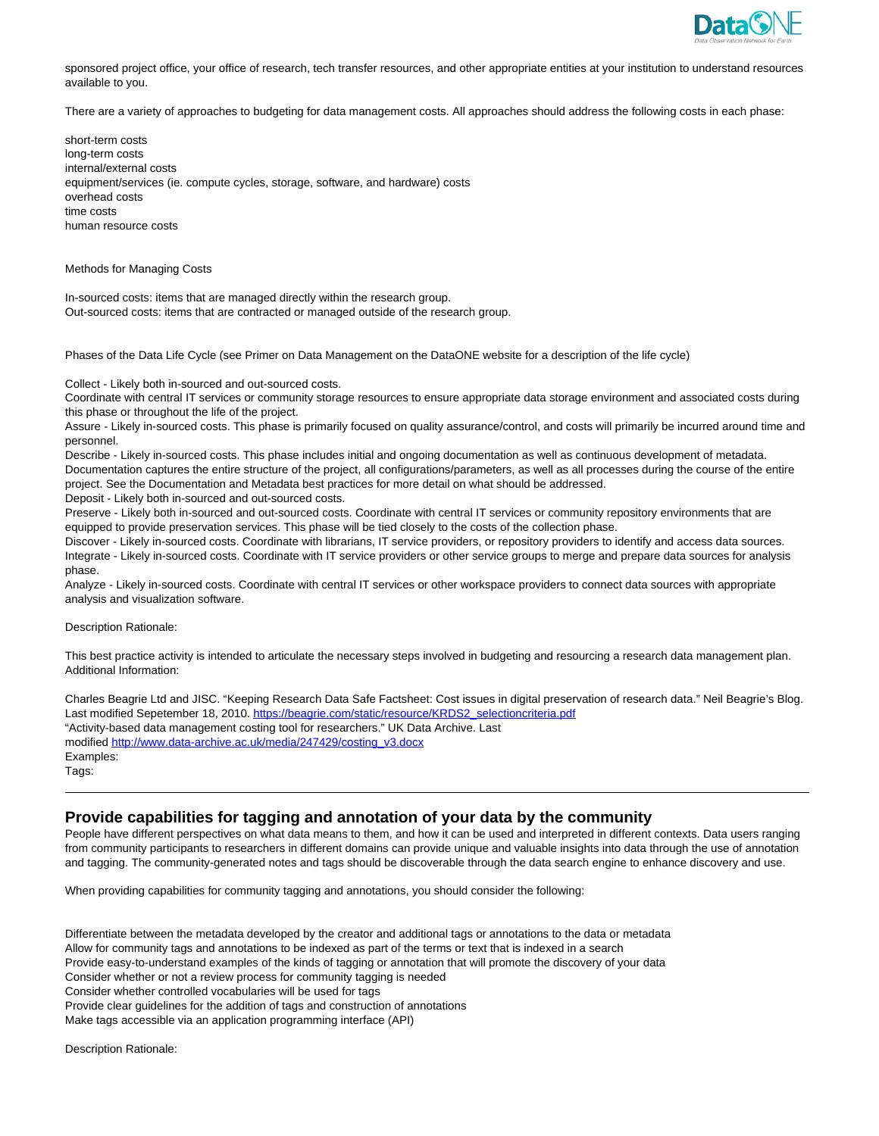

sponsored project office, your office of research, tech transfer resources, and other appropriate entities at your institution to understand resources available to you.

There are a variety of approaches to budgeting for data management costs. All approaches should address the following costs in each phase:

short-term costs long-term costs internal/external costs equipment/services (ie. compute cycles, storage, software, and hardware) costs overhead costs time costs human resource costs

Methods for Managing Costs

In-sourced costs: items that are managed directly within the research group. Out-sourced costs: items that are contracted or managed outside of the research group.

Phases of the Data Life Cycle (see Primer on Data Management on the DataONE website for a description of the life cycle)

Collect - Likely both in-sourced and out-sourced costs.

Coordinate with central IT services or community storage resources to ensure appropriate data storage environment and associated costs during this phase or throughout the life of the project.

Assure - Likely in-sourced costs. This phase is primarily focused on quality assurance/control, and costs will primarily be incurred around time and personnel.

Describe - Likely in-sourced costs. This phase includes initial and ongoing documentation as well as continuous development of metadata. Documentation captures the entire structure of the project, all configurations/parameters, as well as all processes during the course of the entire project. See the Documentation and Metadata best practices for more detail on what should be addressed.

Deposit - Likely both in-sourced and out-sourced costs.

Preserve - Likely both in-sourced and out-sourced costs. Coordinate with central IT services or community repository environments that are equipped to provide preservation services. This phase will be tied closely to the costs of the collection phase.

Discover - Likely in-sourced costs. Coordinate with librarians, IT service providers, or repository providers to identify and access data sources. Integrate - Likely in-sourced costs. Coordinate with IT service providers or other service groups to merge and prepare data sources for analysis phase.

Analyze - Likely in-sourced costs. Coordinate with central IT services or other workspace providers to connect data sources with appropriate analysis and visualization software.

Description Rationale:

This best practice activity is intended to articulate the necessary steps involved in budgeting and resourcing a research data management plan. Additional Information:

Charles Beagrie Ltd and JISC. "Keeping Research Data Safe Factsheet: Cost issues in digital preservation of research data." Neil Beagrie's Blog. Last modified Sepetember 18, 2010. https://beagrie.com/static/resource/KRDS2\_selectioncriteria.pdf "Activity-based data management costing tool for researchers." UK Data Archive. Last modified http://www.data-archive.ac.uk/media/247429/costing\_v3.docx Examples: Tags:

# **Provide capabilities for tagging and annotation of your data by the community**

People have different perspectives on what data means to them, and how it can be used and interpreted in different contexts. Data users ranging from community participants to researchers in different domains can provide unique and valuable insights into data through the use of annotation and tagging. The community-generated notes and tags should be discoverable through the data search engine to enhance discovery and use.

When providing capabilities for community tagging and annotations, you should consider the following:

Differentiate between the metadata developed by the creator and additional tags or annotations to the data or metadata Allow for community tags and annotations to be indexed as part of the terms or text that is indexed in a search Provide easy-to-understand examples of the kinds of tagging or annotation that will promote the discovery of your data Consider whether or not a review process for community tagging is needed Consider whether controlled vocabularies will be used for tags Provide clear guidelines for the addition of tags and construction of annotations Make tags accessible via an application programming interface (API)

Description Rationale: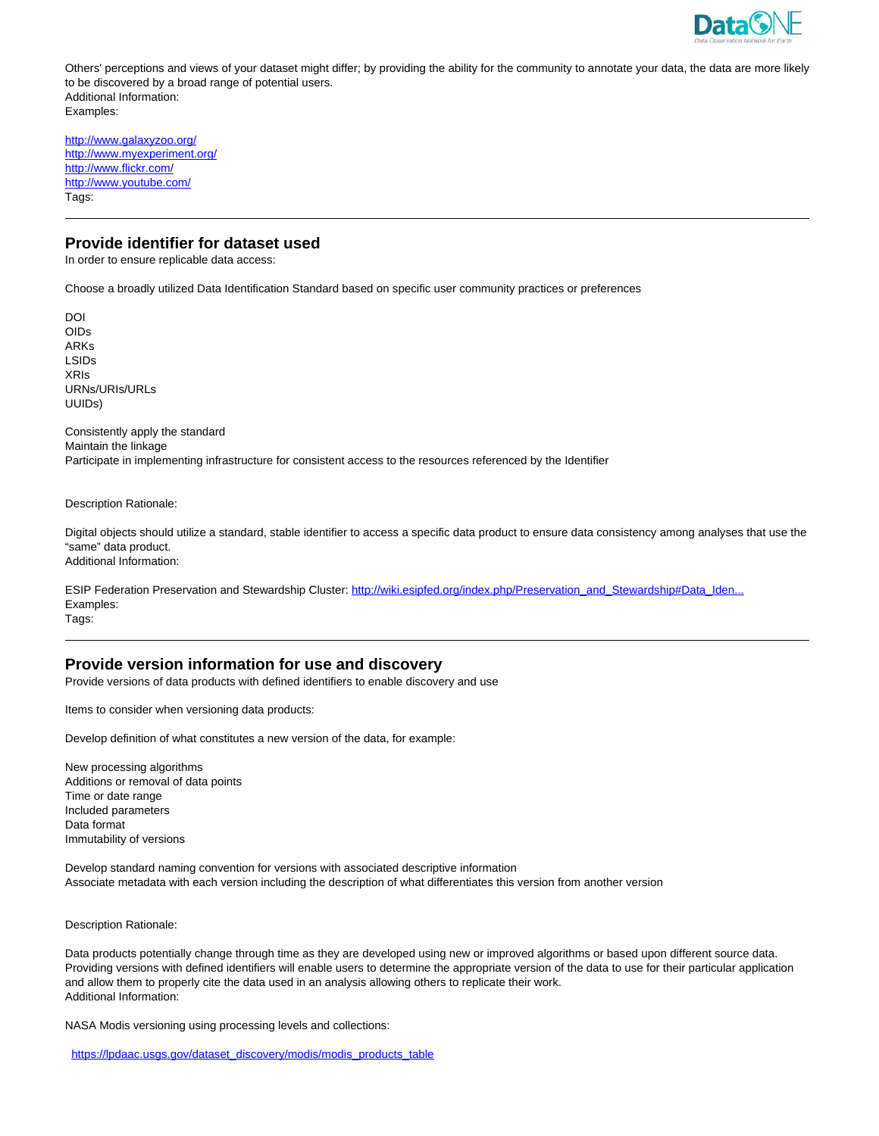

Others' perceptions and views of your dataset might differ; by providing the ability for the community to annotate your data, the data are more likely to be discovered by a broad range of potential users. Additional Information: Examples:

http://www.galaxyzoo.org/ http://www.myexperiment.org/ http://www.flickr.com/ http://www.youtube.com/ Tags:

### **Provide identifier for dataset used**

In order to ensure replicable data access:

Choose a broadly utilized Data Identification Standard based on specific user community practices or preferences

DOI OIDs ARKs LSIDs XRIs URNs/URIs/URLs UUIDs)

Consistently apply the standard Maintain the linkage Participate in implementing infrastructure for consistent access to the resources referenced by the Identifier

Description Rationale:

Digital objects should utilize a standard, stable identifier to access a specific data product to ensure data consistency among analyses that use the "same" data product. Additional Information:

ESIP Federation Preservation and Stewardship Cluster: http://wiki.esipfed.org/index.php/Preservation\_and\_Stewardship#Data\_Iden.. Examples: Tags:

#### **Provide version information for use and discovery**

Provide versions of data products with defined identifiers to enable discovery and use

Items to consider when versioning data products:

Develop definition of what constitutes a new version of the data, for example:

New processing algorithms Additions or removal of data points Time or date range Included parameters Data format Immutability of versions

Develop standard naming convention for versions with associated descriptive information Associate metadata with each version including the description of what differentiates this version from another version

Description Rationale:

Data products potentially change through time as they are developed using new or improved algorithms or based upon different source data. Providing versions with defined identifiers will enable users to determine the appropriate version of the data to use for their particular application and allow them to properly cite the data used in an analysis allowing others to replicate their work. Additional Information:

NASA Modis versioning using processing levels and collections:

https://lpdaac.usgs.gov/dataset\_discovery/modis/modis\_products\_table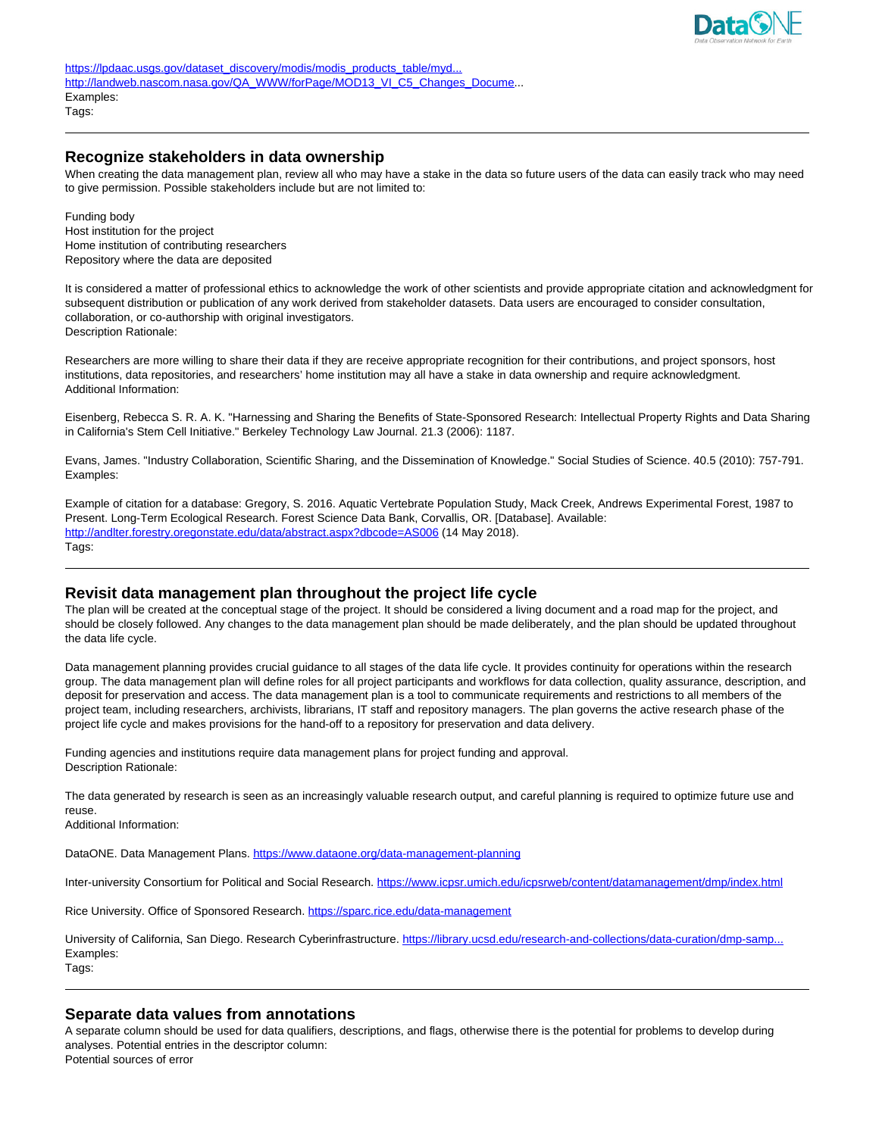

# **Recognize stakeholders in data ownership**

When creating the data management plan, review all who may have a stake in the data so future users of the data can easily track who may need to give permission. Possible stakeholders include but are not limited to:

Funding body Host institution for the project Home institution of contributing researchers Repository where the data are deposited

It is considered a matter of professional ethics to acknowledge the work of other scientists and provide appropriate citation and acknowledgment for subsequent distribution or publication of any work derived from stakeholder datasets. Data users are encouraged to consider consultation, collaboration, or co-authorship with original investigators. Description Rationale:

Researchers are more willing to share their data if they are receive appropriate recognition for their contributions, and project sponsors, host institutions, data repositories, and researchers' home institution may all have a stake in data ownership and require acknowledgment. Additional Information:

Eisenberg, Rebecca S. R. A. K. "Harnessing and Sharing the Benefits of State-Sponsored Research: Intellectual Property Rights and Data Sharing in California's Stem Cell Initiative." Berkeley Technology Law Journal. 21.3 (2006): 1187.

Evans, James. "Industry Collaboration, Scientific Sharing, and the Dissemination of Knowledge." Social Studies of Science. 40.5 (2010): 757-791. Examples:

Example of citation for a database: Gregory, S. 2016. Aquatic Vertebrate Population Study, Mack Creek, Andrews Experimental Forest, 1987 to Present. Long-Term Ecological Research. Forest Science Data Bank, Corvallis, OR. [Database]. Available: http://andlter.forestry.oregonstate.edu/data/abstract.aspx?dbcode=AS006 (14 May 2018). Tags:

# **Revisit data management plan throughout the project life cycle**

The plan will be created at the conceptual stage of the project. It should be considered a living document and a road map for the project, and should be closely followed. Any changes to the data management plan should be made deliberately, and the plan should be updated throughout the data life cycle.

Data management planning provides crucial guidance to all stages of the data life cycle. It provides continuity for operations within the research group. The data management plan will define roles for all project participants and workflows for data collection, quality assurance, description, and deposit for preservation and access. The data management plan is a tool to communicate requirements and restrictions to all members of the project team, including researchers, archivists, librarians, IT staff and repository managers. The plan governs the active research phase of the project life cycle and makes provisions for the hand-off to a repository for preservation and data delivery.

Funding agencies and institutions require data management plans for project funding and approval. Description Rationale:

The data generated by research is seen as an increasingly valuable research output, and careful planning is required to optimize future use and reuse.

Additional Information:

DataONE. Data Management Plans. https://www.dataone.org/data-management-planning

Inter-university Consortium for Political and Social Research. https://www.icpsr.umich.edu/icpsrweb/content/datamanagement/dmp/index.html

Rice University. Office of Sponsored Research. https://sparc.rice.edu/data-management

University of California, San Diego. Research Cyberinfrastructure. https://library.ucsd.edu/research-and-collections/data-curation/dmp-samp... Examples: Tags:

# **Separate data values from annotations**

A separate column should be used for data qualifiers, descriptions, and flags, otherwise there is the potential for problems to develop during analyses. Potential entries in the descriptor column:

Potential sources of error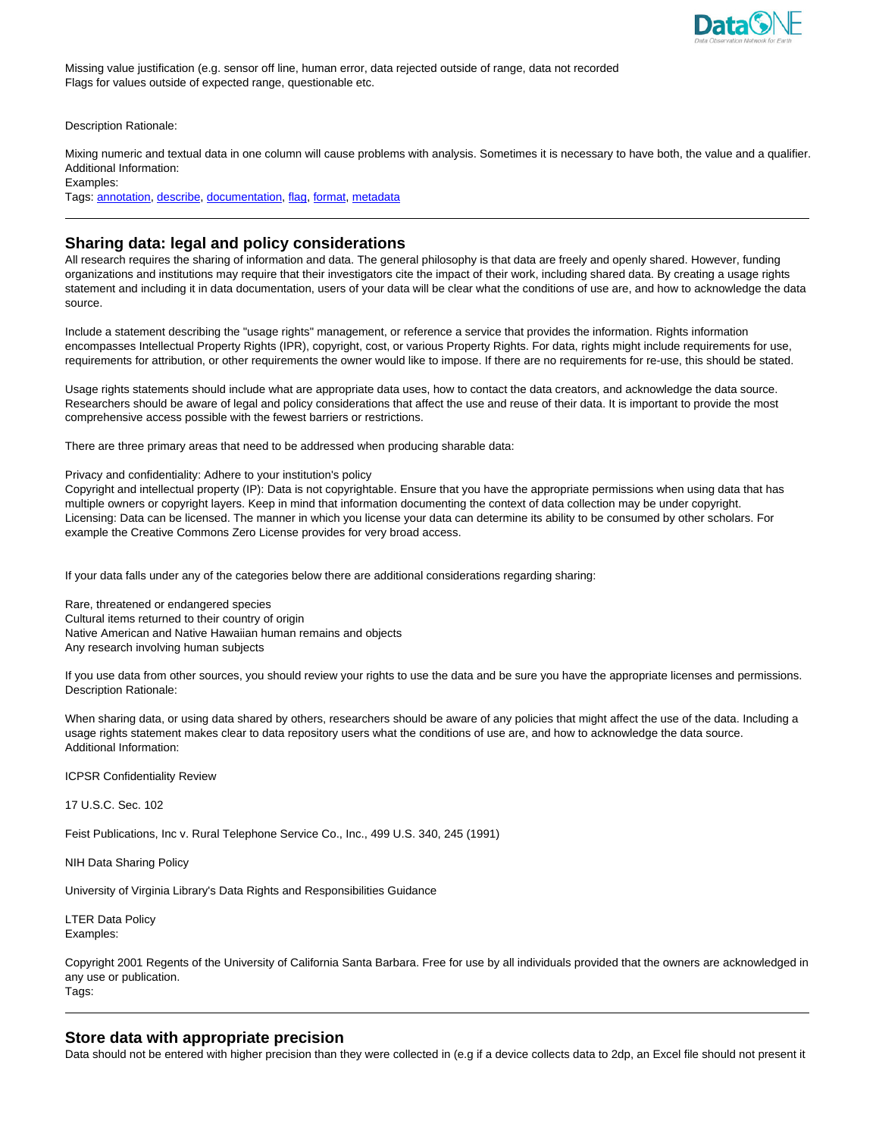

Missing value justification (e.g. sensor off line, human error, data rejected outside of range, data not recorded Flags for values outside of expected range, questionable etc.

Description Rationale:

Mixing numeric and textual data in one column will cause problems with analysis. Sometimes it is necessary to have both, the value and a qualifier. Additional Information:

Examples:

Tags: annotation, describe, documentation, flag, format, metadata

### **Sharing data: legal and policy considerations**

All research requires the sharing of information and data. The general philosophy is that data are freely and openly shared. However, funding organizations and institutions may require that their investigators cite the impact of their work, including shared data. By creating a usage rights statement and including it in data documentation, users of your data will be clear what the conditions of use are, and how to acknowledge the data source.

Include a statement describing the "usage rights" management, or reference a service that provides the information. Rights information encompasses Intellectual Property Rights (IPR), copyright, cost, or various Property Rights. For data, rights might include requirements for use, requirements for attribution, or other requirements the owner would like to impose. If there are no requirements for re-use, this should be stated.

Usage rights statements should include what are appropriate data uses, how to contact the data creators, and acknowledge the data source. Researchers should be aware of legal and policy considerations that affect the use and reuse of their data. It is important to provide the most comprehensive access possible with the fewest barriers or restrictions.

There are three primary areas that need to be addressed when producing sharable data:

Privacy and confidentiality: Adhere to your institution's policy

Copyright and intellectual property (IP): Data is not copyrightable. Ensure that you have the appropriate permissions when using data that has multiple owners or copyright layers. Keep in mind that information documenting the context of data collection may be under copyright. Licensing: Data can be licensed. The manner in which you license your data can determine its ability to be consumed by other scholars. For example the Creative Commons Zero License provides for very broad access.

If your data falls under any of the categories below there are additional considerations regarding sharing:

Rare, threatened or endangered species Cultural items returned to their country of origin Native American and Native Hawaiian human remains and objects Any research involving human subjects

If you use data from other sources, you should review your rights to use the data and be sure you have the appropriate licenses and permissions. Description Rationale:

When sharing data, or using data shared by others, researchers should be aware of any policies that might affect the use of the data. Including a usage rights statement makes clear to data repository users what the conditions of use are, and how to acknowledge the data source. Additional Information:

ICPSR Confidentiality Review

17 U.S.C. Sec. 102

Feist Publications, Inc v. Rural Telephone Service Co., Inc., 499 U.S. 340, 245 (1991)

NIH Data Sharing Policy

University of Virginia Library's Data Rights and Responsibilities Guidance

LTER Data Policy Examples:

Copyright 2001 Regents of the University of California Santa Barbara. Free for use by all individuals provided that the owners are acknowledged in any use or publication. Tags:

### **Store data with appropriate precision**

Data should not be entered with higher precision than they were collected in (e.g if a device collects data to 2dp, an Excel file should not present it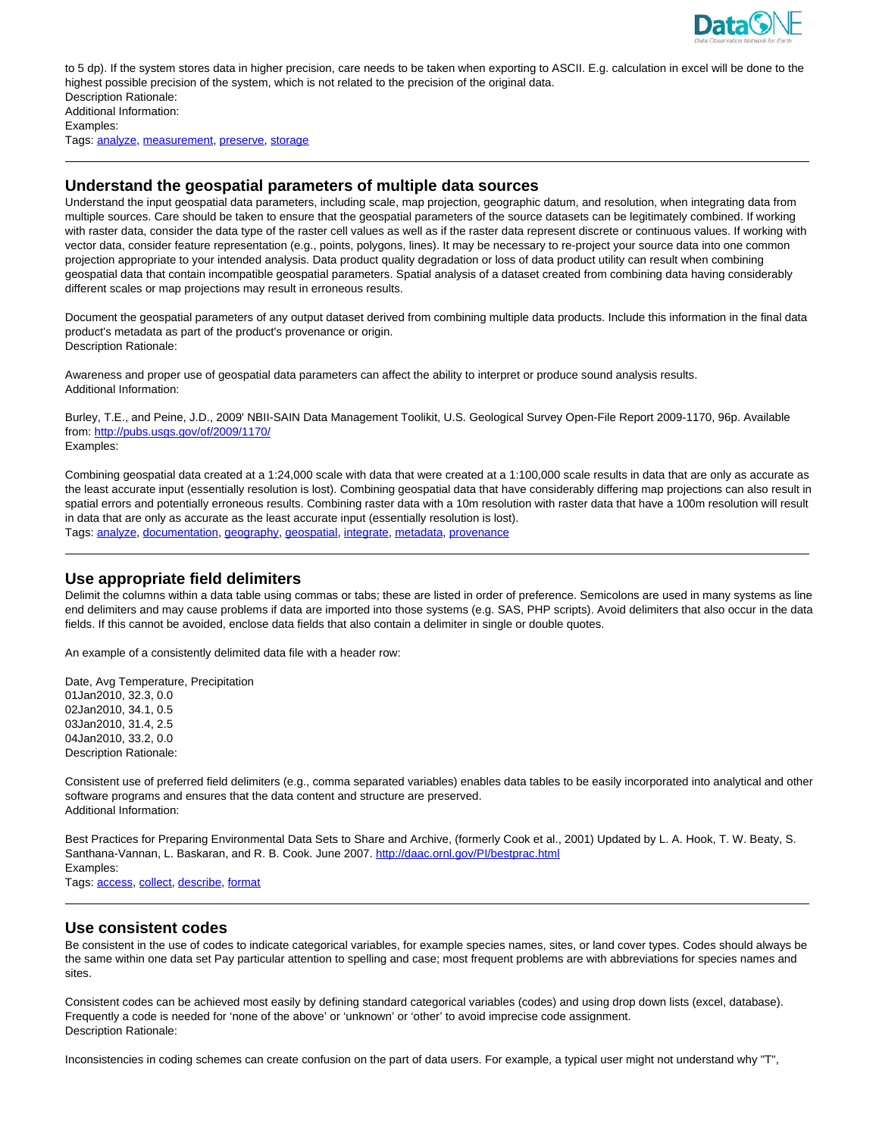

to 5 dp). If the system stores data in higher precision, care needs to be taken when exporting to ASCII. E.g. calculation in excel will be done to the highest possible precision of the system, which is not related to the precision of the original data. Description Rationale: Additional Information: Examples:

Tags: analyze, measurement, preserve, storage

### **Understand the geospatial parameters of multiple data sources**

Understand the input geospatial data parameters, including scale, map projection, geographic datum, and resolution, when integrating data from multiple sources. Care should be taken to ensure that the geospatial parameters of the source datasets can be legitimately combined. If working with raster data, consider the data type of the raster cell values as well as if the raster data represent discrete or continuous values. If working with vector data, consider feature representation (e.g., points, polygons, lines). It may be necessary to re-project your source data into one common projection appropriate to your intended analysis. Data product quality degradation or loss of data product utility can result when combining geospatial data that contain incompatible geospatial parameters. Spatial analysis of a dataset created from combining data having considerably different scales or map projections may result in erroneous results.

Document the geospatial parameters of any output dataset derived from combining multiple data products. Include this information in the final data product's metadata as part of the product's provenance or origin. Description Rationale:

Awareness and proper use of geospatial data parameters can affect the ability to interpret or produce sound analysis results. Additional Information:

Burley, T.E., and Peine, J.D., 2009' NBII-SAIN Data Management Toolikit, U.S. Geological Survey Open-File Report 2009-1170, 96p. Available from: http://pubs.usgs.gov/of/2009/1170/ Examples:

Combining geospatial data created at a 1:24,000 scale with data that were created at a 1:100,000 scale results in data that are only as accurate as the least accurate input (essentially resolution is lost). Combining geospatial data that have considerably differing map projections can also result in spatial errors and potentially erroneous results. Combining raster data with a 10m resolution with raster data that have a 100m resolution will result in data that are only as accurate as the least accurate input (essentially resolution is lost). Tags: analyze, documentation, geography, geospatial, integrate, metadata, provenance

**Use appropriate field delimiters**

Delimit the columns within a data table using commas or tabs; these are listed in order of preference. Semicolons are used in many systems as line end delimiters and may cause problems if data are imported into those systems (e.g. SAS, PHP scripts). Avoid delimiters that also occur in the data fields. If this cannot be avoided, enclose data fields that also contain a delimiter in single or double quotes.

An example of a consistently delimited data file with a header row:

Date, Avg Temperature, Precipitation 01Jan2010, 32.3, 0.0 02Jan2010, 34.1, 0.5 03Jan2010, 31.4, 2.5 04Jan2010, 33.2, 0.0 Description Rationale:

Consistent use of preferred field delimiters (e.g., comma separated variables) enables data tables to be easily incorporated into analytical and other software programs and ensures that the data content and structure are preserved. Additional Information:

Best Practices for Preparing Environmental Data Sets to Share and Archive, (formerly Cook et al., 2001) Updated by L. A. Hook, T. W. Beaty, S. Santhana-Vannan, L. Baskaran, and R. B. Cook. June 2007. http://daac.ornl.gov/PI/bestprac.html Examples:

Tags: access, collect, describe, format

### **Use consistent codes**

Be consistent in the use of codes to indicate categorical variables, for example species names, sites, or land cover types. Codes should always be the same within one data set Pay particular attention to spelling and case; most frequent problems are with abbreviations for species names and sites.

Consistent codes can be achieved most easily by defining standard categorical variables (codes) and using drop down lists (excel, database). Frequently a code is needed for 'none of the above' or 'unknown' or 'other' to avoid imprecise code assignment. Description Rationale:

Inconsistencies in coding schemes can create confusion on the part of data users. For example, a typical user might not understand why "T",